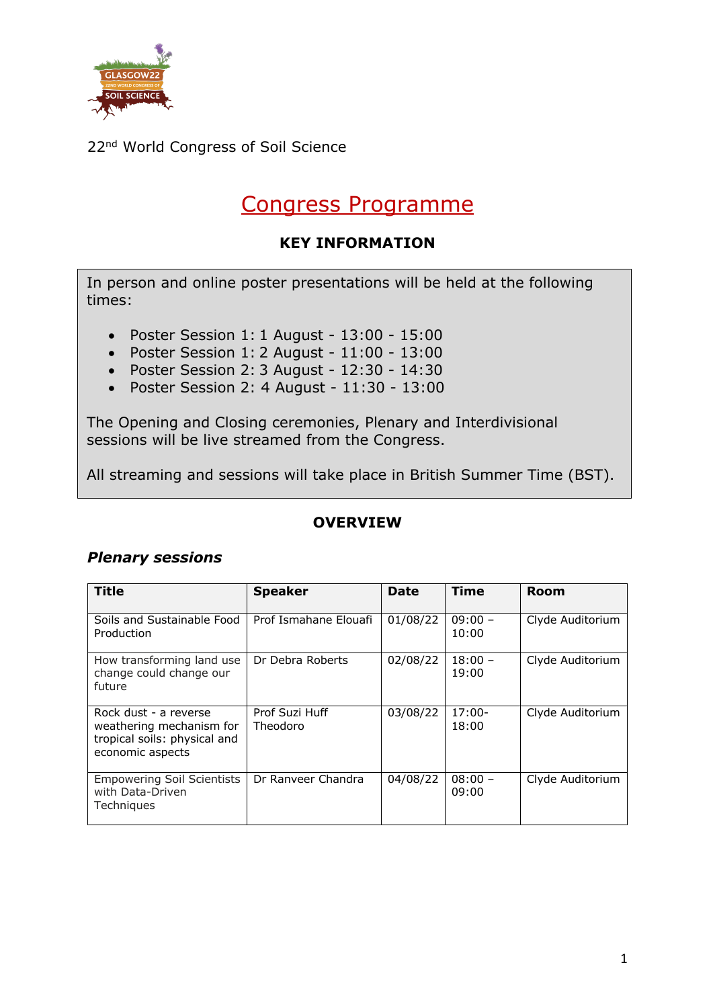

# Congress Programme

#### **KEY INFORMATION**

In person and online poster presentations will be held at the following times:

- Poster Session 1: 1 August 13:00 15:00
- Poster Session 1: 2 August 11:00 13:00
- Poster Session 2: 3 August 12:30 14:30
- Poster Session 2: 4 August 11:30 13:00

The Opening and Closing ceremonies, Plenary and Interdivisional sessions will be live streamed from the Congress.

All streaming and sessions will take place in British Summer Time (BST).

#### **OVERVIEW**

#### *Plenary sessions*

| <b>Title</b>                                                                                          | <b>Speaker</b>             | Date     | Time               | Room             |
|-------------------------------------------------------------------------------------------------------|----------------------------|----------|--------------------|------------------|
| Soils and Sustainable Food<br>Production                                                              | Prof Ismahane Elouafi      | 01/08/22 | $09:00 -$<br>10:00 | Clyde Auditorium |
| How transforming land use<br>change could change our<br>future                                        | Dr Debra Roberts           | 02/08/22 | $18:00 -$<br>19:00 | Clyde Auditorium |
| Rock dust - a reverse<br>weathering mechanism for<br>tropical soils: physical and<br>economic aspects | Prof Suzi Huff<br>Theodoro | 03/08/22 | $17:00 -$<br>18:00 | Clyde Auditorium |
| <b>Empowering Soil Scientists</b><br>with Data-Driven<br>Techniques                                   | Dr Ranveer Chandra         | 04/08/22 | $08:00 -$<br>09:00 | Clyde Auditorium |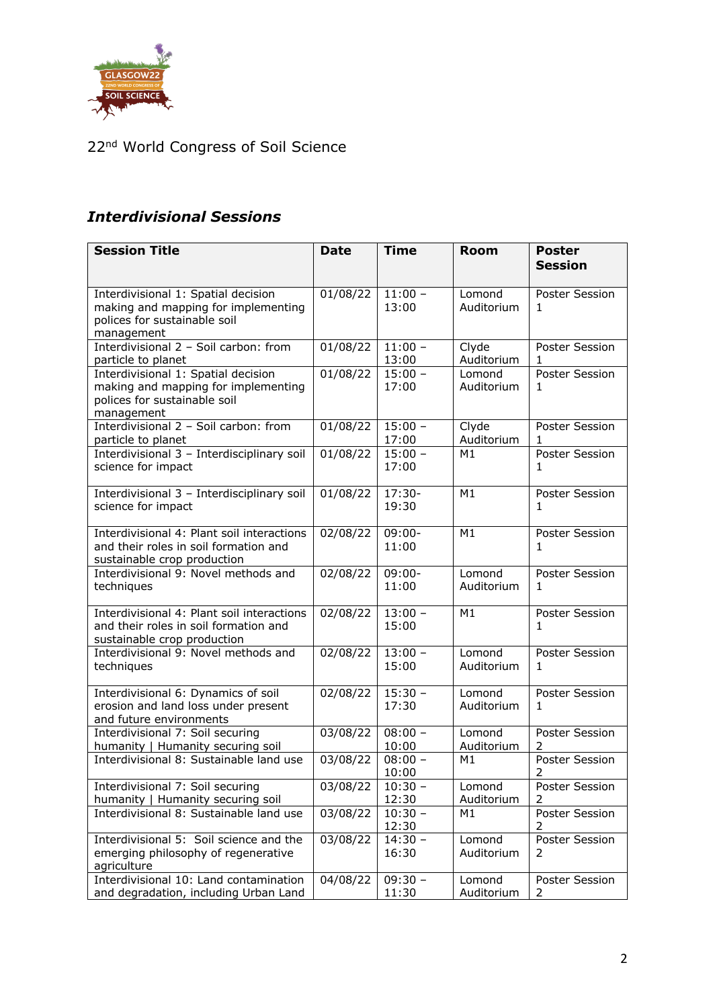

### *Interdivisional Sessions*

| <b>Session Title</b>                                                                | <b>Date</b> | <b>Time</b>        | <b>Room</b>          | <b>Poster</b>               |
|-------------------------------------------------------------------------------------|-------------|--------------------|----------------------|-----------------------------|
|                                                                                     |             |                    |                      | <b>Session</b>              |
| Interdivisional 1: Spatial decision                                                 | 01/08/22    | $11:00 -$          | Lomond               | Poster Session              |
| making and mapping for implementing                                                 |             | 13:00              | Auditorium           | 1.                          |
| polices for sustainable soil<br>management                                          |             |                    |                      |                             |
| Interdivisional 2 - Soil carbon: from                                               | 01/08/22    | $11:00 -$          | Clyde                | Poster Session              |
| particle to planet                                                                  |             | 13:00              | Auditorium           | 1                           |
| Interdivisional 1: Spatial decision<br>making and mapping for implementing          | 01/08/22    | $15:00 -$<br>17:00 | Lomond<br>Auditorium | <b>Poster Session</b><br>1. |
| polices for sustainable soil                                                        |             |                    |                      |                             |
| management                                                                          |             |                    |                      |                             |
| Interdivisional 2 - Soil carbon: from                                               | 01/08/22    | $15:00 -$          | Clyde                | Poster Session              |
| particle to planet<br>Interdivisional 3 - Interdisciplinary soil                    | 01/08/22    | 17:00<br>$15:00 -$ | Auditorium<br>M1     | 1<br>Poster Session         |
| science for impact                                                                  |             | 17:00              |                      | 1.                          |
|                                                                                     |             |                    |                      |                             |
| Interdivisional 3 - Interdisciplinary soil                                          | 01/08/22    | $17:30-$           | M1                   | <b>Poster Session</b>       |
| science for impact                                                                  |             | 19:30              |                      | 1                           |
| Interdivisional 4: Plant soil interactions                                          | 02/08/22    | $09:00 -$          | M1                   | <b>Poster Session</b>       |
| and their roles in soil formation and                                               |             | 11:00              |                      | 1                           |
| sustainable crop production<br>Interdivisional 9: Novel methods and                 | 02/08/22    | $09:00 -$          | Lomond               | Poster Session              |
| techniques                                                                          |             | 11:00              | Auditorium           | 1                           |
|                                                                                     |             |                    |                      |                             |
| Interdivisional 4: Plant soil interactions<br>and their roles in soil formation and | 02/08/22    | $13:00 -$<br>15:00 | M1                   | <b>Poster Session</b><br>1  |
| sustainable crop production                                                         |             |                    |                      |                             |
| Interdivisional 9: Novel methods and                                                | 02/08/22    | $13:00 -$          | Lomond               | <b>Poster Session</b>       |
| techniques                                                                          |             | 15:00              | Auditorium           | 1.                          |
| Interdivisional 6: Dynamics of soil                                                 | 02/08/22    | $15:30 -$          | Lomond               | Poster Session              |
| erosion and land loss under present                                                 |             | 17:30              | Auditorium           | 1.                          |
| and future environments                                                             |             |                    |                      |                             |
| Interdivisional 7: Soil securing<br>humanity   Humanity securing soil               | 03/08/22    | $08:00 -$<br>10:00 | Lomond<br>Auditorium | <b>Poster Session</b><br>2  |
| Interdivisional 8: Sustainable land use                                             | 03/08/22    | $08:00 -$          | M1                   | <b>Poster Session</b>       |
|                                                                                     |             | 10:00              |                      | $\overline{2}$              |
| Interdivisional 7: Soil securing                                                    | 03/08/22    | $10:30 -$          | Lomond               | <b>Poster Session</b>       |
| humanity   Humanity securing soil<br>Interdivisional 8: Sustainable land use        | 03/08/22    | 12:30<br>$10:30 -$ | Auditorium<br>M1     | 2<br>Poster Session         |
|                                                                                     |             | 12:30              |                      | 2                           |
| Interdivisional 5: Soil science and the                                             | 03/08/22    | $14:30 -$          | Lomond               | Poster Session              |
| emerging philosophy of regenerative<br>agriculture                                  |             | 16:30              | Auditorium           | 2                           |
| Interdivisional 10: Land contamination                                              | 04/08/22    | $09:30 -$          | Lomond               | Poster Session              |
| and degradation, including Urban Land                                               |             | 11:30              | Auditorium           | $\overline{2}$              |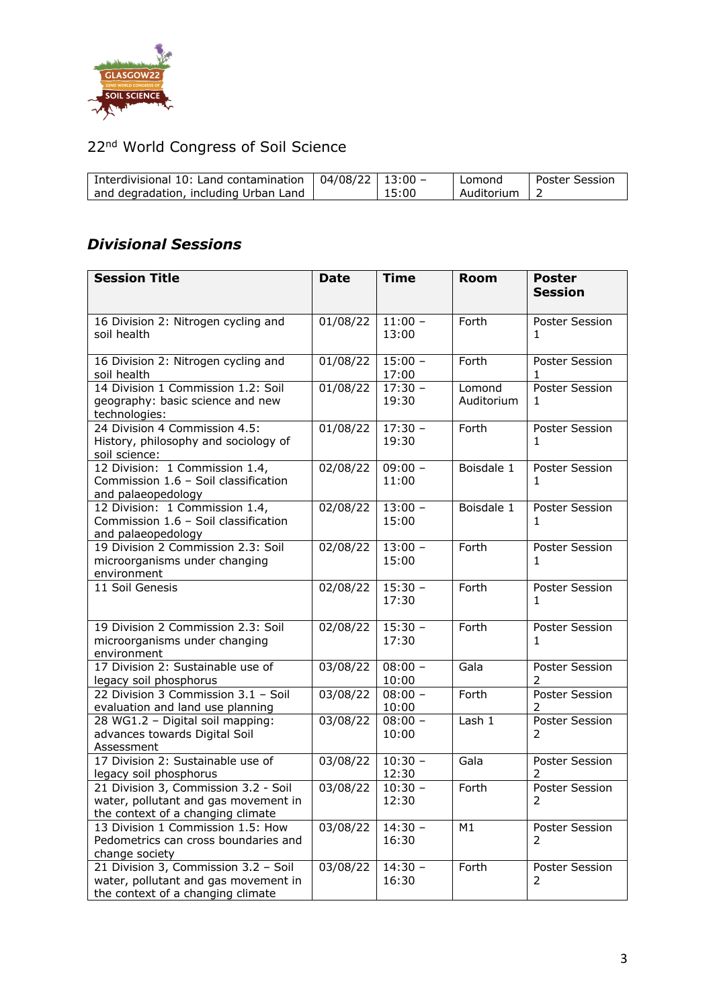

| Interdivisional 10: Land contamination $\vert$ 04/08/22 $\vert$ 13:00 -<br>and degradation, including Urban Land |  | 15:00 | l Lomond<br>Auditorium   2 | Poster Session |
|------------------------------------------------------------------------------------------------------------------|--|-------|----------------------------|----------------|
|------------------------------------------------------------------------------------------------------------------|--|-------|----------------------------|----------------|

### *Divisional Sessions*

| <b>Session Title</b>                                                                                              | <b>Date</b>         | <b>Time</b>        | <b>Room</b>          | <b>Poster</b><br><b>Session</b> |
|-------------------------------------------------------------------------------------------------------------------|---------------------|--------------------|----------------------|---------------------------------|
|                                                                                                                   |                     |                    |                      |                                 |
| 16 Division 2: Nitrogen cycling and<br>soil health                                                                | 01/08/22            | $11:00 -$<br>13:00 | Forth                | Poster Session<br>1             |
| 16 Division 2: Nitrogen cycling and<br>soil health                                                                | 01/08/22            | $15:00 -$<br>17:00 | Forth                | Poster Session<br>1             |
| 14 Division 1 Commission 1.2: Soil<br>geography: basic science and new<br>technologies:                           | 01/08/22            | $17:30 -$<br>19:30 | Lomond<br>Auditorium | Poster Session<br>1             |
| 24 Division 4 Commission 4.5:<br>History, philosophy and sociology of<br>soil science:                            | 01/08/22            | $17:30 -$<br>19:30 | Forth                | Poster Session<br>1             |
| 12 Division: 1 Commission 1.4,<br>Commission 1.6 - Soil classification<br>and palaeopedology                      | 02/08/22            | $09:00 -$<br>11:00 | Boisdale 1           | Poster Session<br>1             |
| 12 Division: 1 Commission 1.4,<br>Commission 1.6 - Soil classification<br>and palaeopedology                      | 02/08/22            | $13:00 -$<br>15:00 | Boisdale 1           | Poster Session<br>1             |
| 19 Division 2 Commission 2.3: Soil<br>microorganisms under changing<br>environment                                | 02/08/22            | $13:00 -$<br>15:00 | Forth                | Poster Session<br>1.            |
| 11 Soil Genesis                                                                                                   | 02/08/22            | $15:30 -$<br>17:30 | Forth                | Poster Session<br>1             |
| 19 Division 2 Commission 2.3: Soil<br>microorganisms under changing<br>environment                                | 02/08/22            | $15:30 -$<br>17:30 | Forth                | Poster Session<br>1             |
| 17 Division 2: Sustainable use of<br>legacy soil phosphorus                                                       | 03/08/22            | $08:00 -$<br>10:00 | Gala                 | Poster Session<br>2             |
| 22 Division 3 Commission 3.1 - Soil<br>evaluation and land use planning                                           | $\frac{03}{08}{22}$ | $08:00 -$<br>10:00 | Forth                | Poster Session<br>2             |
| 28 WG1.2 - Digital soil mapping:<br>advances towards Digital Soil<br>Assessment                                   | 03/08/22            | $08:00 -$<br>10:00 | Lash 1               | Poster Session<br>2             |
| 17 Division 2: Sustainable use of<br>legacy soil phosphorus                                                       | 03/08/22            | $10:30 -$<br>12:30 | Gala                 | Poster Session<br>2             |
| 21 Division 3, Commission 3.2 - Soil<br>water, pollutant and gas movement in<br>the context of a changing climate | 03/08/22            | $10:30 -$<br>12:30 | Forth                | Poster Session<br>2             |
| 13 Division 1 Commission 1.5: How<br>Pedometrics can cross boundaries and<br>change society                       | 03/08/22            | $14:30 -$<br>16:30 | M1                   | Poster Session<br>2             |
| 21 Division 3, Commission 3.2 - Soil<br>water, pollutant and gas movement in<br>the context of a changing climate | 03/08/22            | $14:30 -$<br>16:30 | Forth                | Poster Session<br>2             |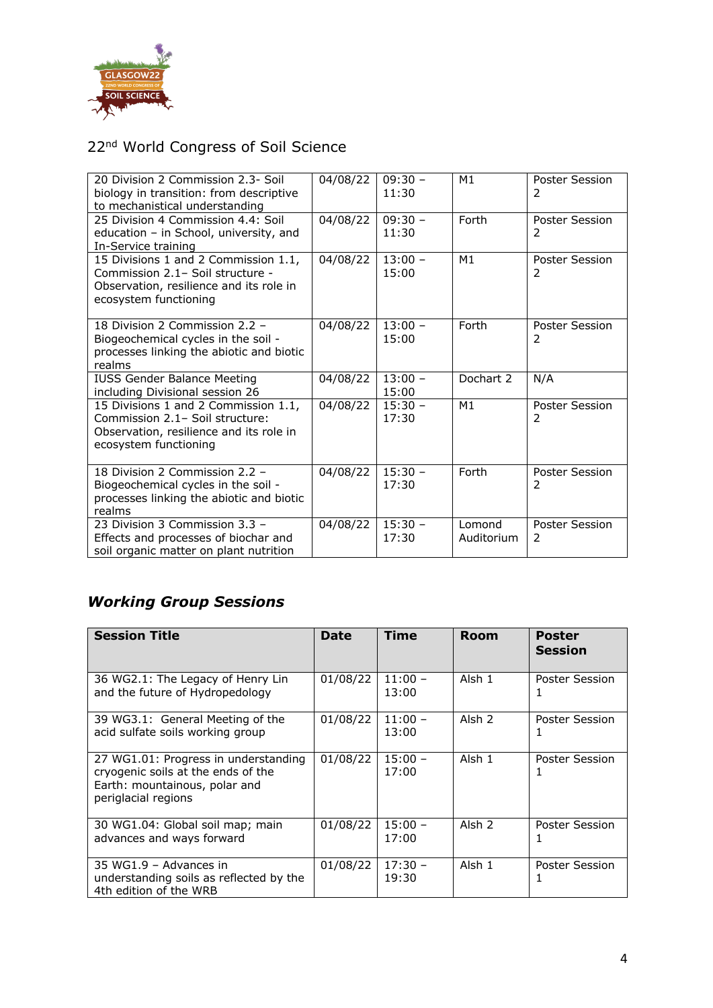

| 20 Division 2 Commission 2.3- Soil<br>biology in transition: from descriptive<br>to mechanistical understanding                              | 04/08/22 | $09:30 -$<br>11:30 | M1                   | Poster Session<br>2 |
|----------------------------------------------------------------------------------------------------------------------------------------------|----------|--------------------|----------------------|---------------------|
| 25 Division 4 Commission 4.4: Soil<br>education - in School, university, and<br>In-Service training                                          | 04/08/22 | $09:30 -$<br>11:30 | Forth                | Poster Session<br>2 |
| 15 Divisions 1 and 2 Commission 1.1,<br>Commission 2.1- Soil structure -<br>Observation, resilience and its role in<br>ecosystem functioning | 04/08/22 | $13:00 -$<br>15:00 | M1                   | Poster Session<br>2 |
| 18 Division 2 Commission 2.2 -<br>Biogeochemical cycles in the soil -<br>processes linking the abiotic and biotic<br>realms                  | 04/08/22 | $13:00 -$<br>15:00 | Forth                | Poster Session<br>2 |
| <b>IUSS Gender Balance Meeting</b><br>including Divisional session 26                                                                        | 04/08/22 | $13:00 -$<br>15:00 | Dochart 2            | N/A                 |
| 15 Divisions 1 and 2 Commission 1.1,<br>Commission 2.1- Soil structure:<br>Observation, resilience and its role in<br>ecosystem functioning  | 04/08/22 | $15:30 -$<br>17:30 | M1                   | Poster Session<br>2 |
| 18 Division 2 Commission 2.2 -<br>Biogeochemical cycles in the soil -<br>processes linking the abiotic and biotic<br>realms                  | 04/08/22 | $15:30 -$<br>17:30 | Forth                | Poster Session<br>2 |
| 23 Division 3 Commission 3.3 -<br>Effects and processes of biochar and<br>soil organic matter on plant nutrition                             | 04/08/22 | $15:30 -$<br>17:30 | Lomond<br>Auditorium | Poster Session<br>2 |

# *Working Group Sessions*

| <b>Session Title</b>                                                                                                               | <b>Date</b> | Time               | <b>Room</b>       | Poster<br><b>Session</b> |
|------------------------------------------------------------------------------------------------------------------------------------|-------------|--------------------|-------------------|--------------------------|
| 36 WG2.1: The Legacy of Henry Lin<br>and the future of Hydropedology                                                               | 01/08/22    | $11:00 -$<br>13:00 | Alsh 1            | Poster Session<br>1      |
| 39 WG3.1: General Meeting of the<br>acid sulfate soils working group                                                               | 01/08/22    | $11:00 -$<br>13:00 | Alsh 2            | Poster Session           |
| 27 WG1.01: Progress in understanding<br>cryogenic soils at the ends of the<br>Earth: mountainous, polar and<br>periglacial regions | 01/08/22    | $15:00 -$<br>17:00 | Alsh 1            | Poster Session<br>I.     |
| 30 WG1.04: Global soil map; main<br>advances and ways forward                                                                      | 01/08/22    | $15:00 -$<br>17:00 | Alsh <sub>2</sub> | Poster Session           |
| 35 WG1.9 - Advances in<br>understanding soils as reflected by the<br>4th edition of the WRB                                        | 01/08/22    | $17:30 -$<br>19:30 | Alsh 1            | Poster Session           |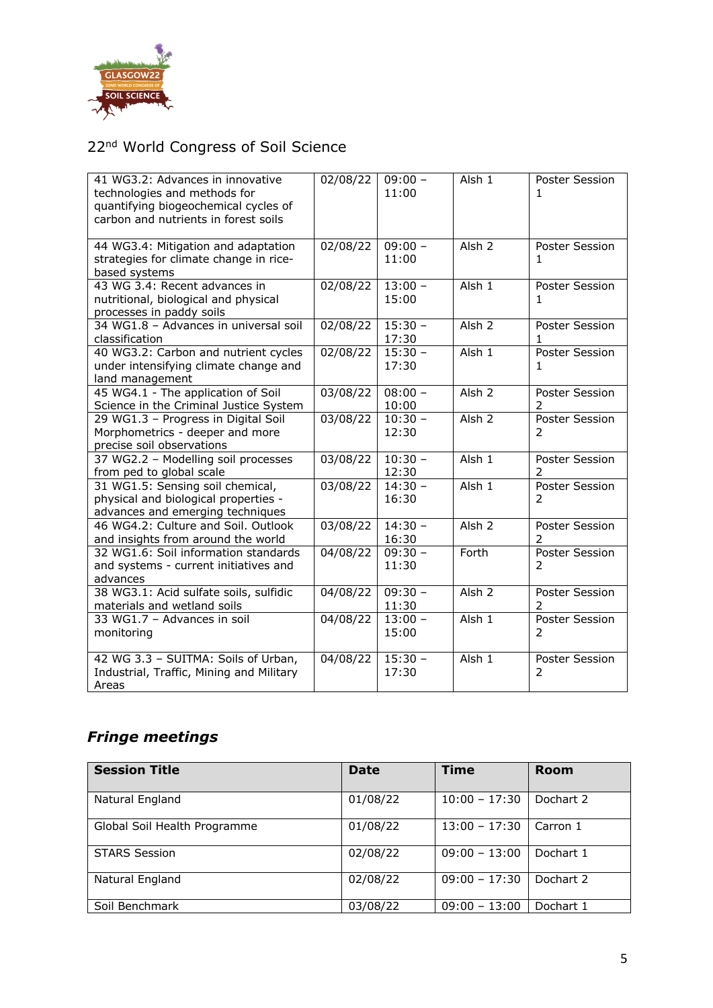

| 41 WG3.2: Advances in innovative<br>technologies and methods for<br>quantifying biogeochemical cycles of<br>carbon and nutrients in forest soils | 02/08/22          | $09:00 -$<br>11:00 | Alsh <sub>1</sub> | Poster Session<br>1             |
|--------------------------------------------------------------------------------------------------------------------------------------------------|-------------------|--------------------|-------------------|---------------------------------|
| 44 WG3.4: Mitigation and adaptation<br>strategies for climate change in rice-<br>based systems                                                   | 02/08/22          | $09:00 -$<br>11:00 | Alsh <sub>2</sub> | Poster Session<br>1             |
| 43 WG 3.4: Recent advances in<br>nutritional, biological and physical<br>processes in paddy soils                                                | 02/08/22          | $13:00 -$<br>15:00 | Alsh <sub>1</sub> | Poster Session<br>1.            |
| 34 WG1.8 - Advances in universal soil<br>classification                                                                                          | 02/08/22          | $15:30 -$<br>17:30 | Alsh <sub>2</sub> | Poster Session<br>1             |
| 40 WG3.2: Carbon and nutrient cycles<br>under intensifying climate change and<br>land management                                                 | $\sqrt{02}/08/22$ | $15:30 -$<br>17:30 | Alsh 1            | Poster Session<br>1             |
| 45 WG4.1 - The application of Soil<br>Science in the Criminal Justice System                                                                     | 03/08/22          | $08:00 -$<br>10:00 | Alsh <sub>2</sub> | Poster Session                  |
| 29 WG1.3 - Progress in Digital Soil<br>Morphometrics - deeper and more<br>precise soil observations                                              | 03/08/22          | $10:30 -$<br>12:30 | Alsh <sub>2</sub> | <b>Poster Session</b><br>2      |
| 37 WG2.2 - Modelling soil processes<br>from ped to global scale                                                                                  | 03/08/22          | $10:30 -$<br>12:30 | Alsh 1            | <b>Poster Session</b><br>2      |
| 31 WG1.5: Sensing soil chemical,<br>physical and biological properties -<br>advances and emerging techniques                                     | 03/08/22          | $14:30 -$<br>16:30 | Alsh 1            | Poster Session<br>$\mathcal{P}$ |
| 46 WG4.2: Culture and Soil. Outlook<br>and insights from around the world                                                                        | 03/08/22          | $14:30 -$<br>16:30 | Alsh <sub>2</sub> | Poster Session<br>$\mathcal{P}$ |
| 32 WG1.6: Soil information standards<br>and systems - current initiatives and<br>advances                                                        | 04/08/22          | $09:30 -$<br>11:30 | Forth             | <b>Poster Session</b><br>2      |
| 38 WG3.1: Acid sulfate soils, sulfidic<br>materials and wetland soils                                                                            | $\sqrt{04}/08/22$ | $09:30 -$<br>11:30 | Alsh <sub>2</sub> | Poster Session<br>$\mathcal{P}$ |
| 33 WG1.7 - Advances in soil<br>monitoring                                                                                                        | 04/08/22          | $13:00 -$<br>15:00 | Alsh 1            | Poster Session<br>$\mathcal{P}$ |
| 42 WG 3.3 - SUITMA: Soils of Urban,<br>Industrial, Traffic, Mining and Military<br>Areas                                                         | 04/08/22          | $15:30 -$<br>17:30 | Alsh 1            | Poster Session<br>2             |

### *Fringe meetings*

| <b>Session Title</b>         | <b>Date</b> | <b>Time</b>     | <b>Room</b> |
|------------------------------|-------------|-----------------|-------------|
| Natural England              | 01/08/22    | $10:00 - 17:30$ | Dochart 2   |
| Global Soil Health Programme | 01/08/22    | $13:00 - 17:30$ | Carron 1    |
| <b>STARS Session</b>         | 02/08/22    | $09:00 - 13:00$ | Dochart 1   |
| Natural England              | 02/08/22    | $09:00 - 17:30$ | Dochart 2   |
| Soil Benchmark               | 03/08/22    | $09:00 - 13:00$ | Dochart 1   |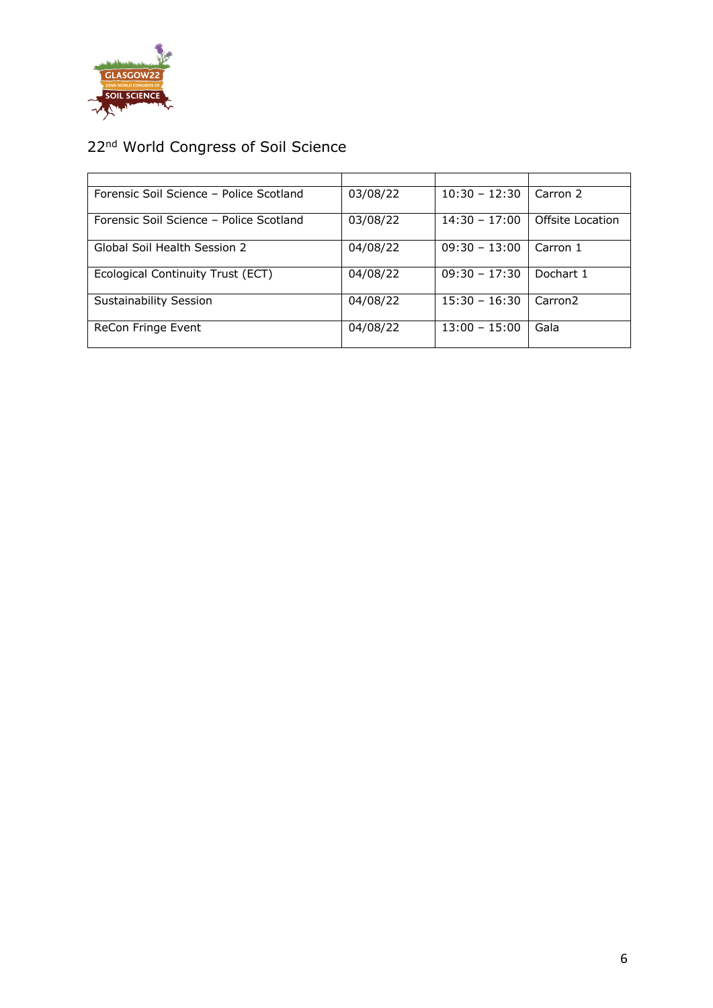

| Forensic Soil Science - Police Scotland | 03/08/22 | $10:30 - 12:30$ | Carron 2            |
|-----------------------------------------|----------|-----------------|---------------------|
| Forensic Soil Science - Police Scotland | 03/08/22 | $14:30 - 17:00$ | Offsite Location    |
| Global Soil Health Session 2            | 04/08/22 | $09:30 - 13:00$ | Carron 1            |
| Ecological Continuity Trust (ECT)       | 04/08/22 | $09:30 - 17:30$ | Dochart 1           |
| <b>Sustainability Session</b>           | 04/08/22 | $15:30 - 16:30$ | Carron <sub>2</sub> |
| ReCon Fringe Event                      | 04/08/22 | $13:00 - 15:00$ | Gala                |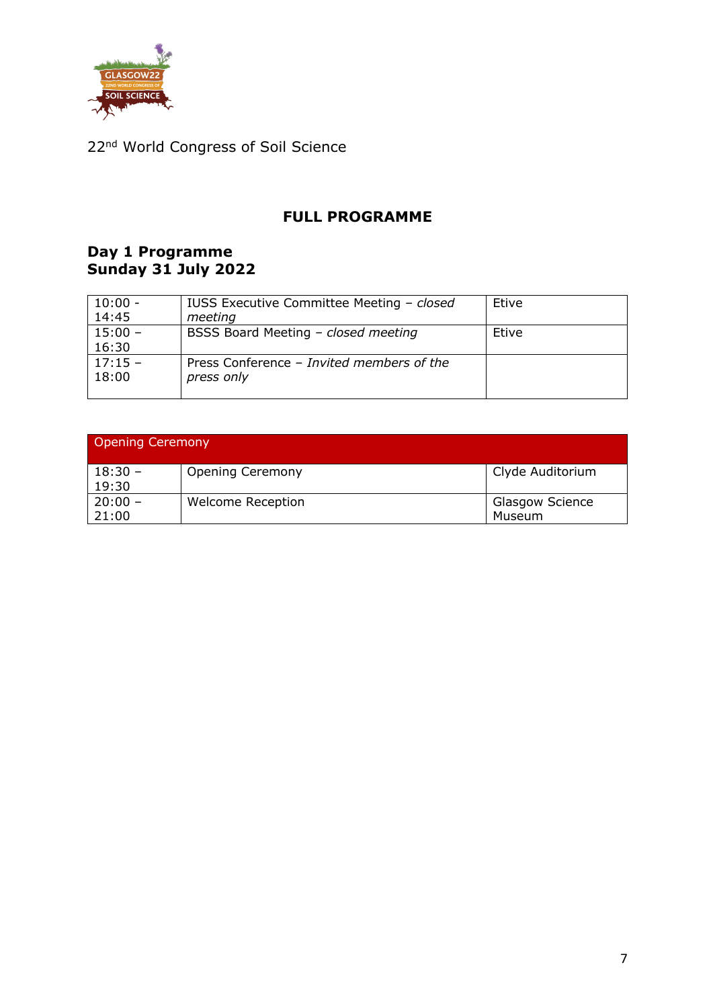

#### **FULL PROGRAMME**

#### **Day 1 Programme Sunday 31 July 2022**

| $10:00 -$ | IUSS Executive Committee Meeting - closed | Etive |
|-----------|-------------------------------------------|-------|
| 14:45     | meeting                                   |       |
| $15:00 -$ | BSSS Board Meeting - closed meeting       | Etive |
| 16:30     |                                           |       |
| $17:15 -$ | Press Conference – Invited members of the |       |
| 18:00     | press only                                |       |
|           |                                           |       |

| <b>Opening Ceremony</b> |                          |                                  |  |  |  |
|-------------------------|--------------------------|----------------------------------|--|--|--|
| $18:30 -$<br>19:30      | <b>Opening Ceremony</b>  | Clyde Auditorium                 |  |  |  |
| $20:00 -$<br>21:00      | <b>Welcome Reception</b> | <b>Glasgow Science</b><br>Museum |  |  |  |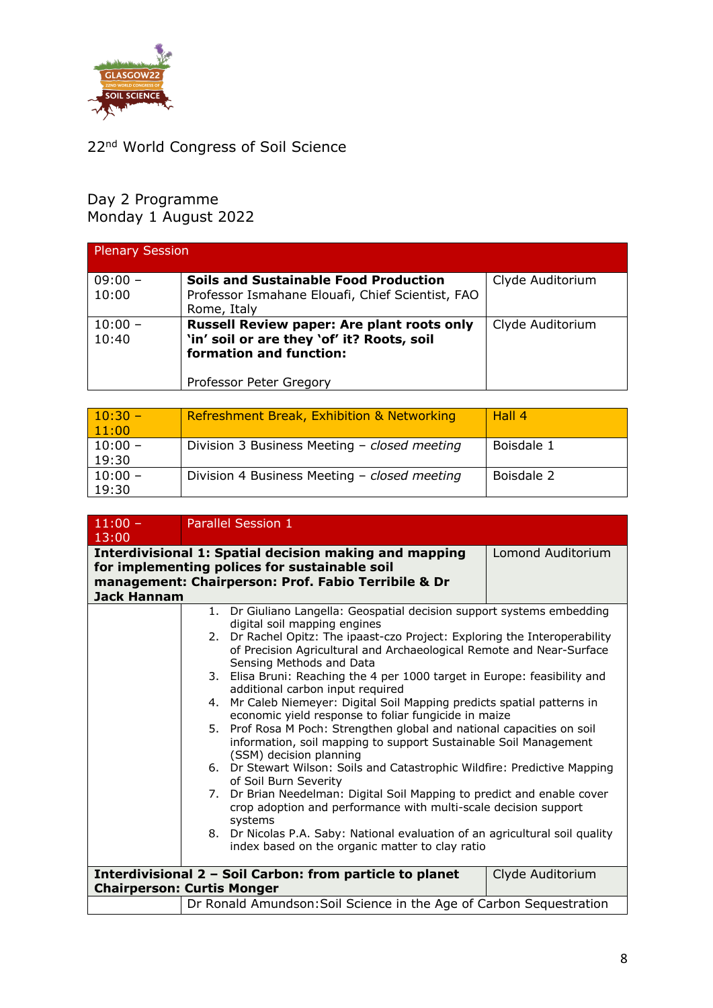

#### Day 2 Programme Monday 1 August 2022

| <b>Plenary Session</b> |                                                   |                  |
|------------------------|---------------------------------------------------|------------------|
| $09:00 -$              | <b>Soils and Sustainable Food Production</b>      | Clyde Auditorium |
| 10:00                  | Professor Ismahane Elouafi, Chief Scientist, FAO  |                  |
|                        | Rome, Italy                                       |                  |
| $10:00 -$              | <b>Russell Review paper: Are plant roots only</b> | Clyde Auditorium |
| 10:40                  | 'in' soil or are they 'of' it? Roots, soil        |                  |
|                        | formation and function:                           |                  |
|                        |                                                   |                  |
|                        | Professor Peter Gregory                           |                  |

| $10:30 -$<br>11:00 | Refreshment Break, Exhibition & Networking   | Hall 4     |
|--------------------|----------------------------------------------|------------|
| $10:00 -$<br>19:30 | Division 3 Business Meeting - closed meeting | Boisdale 1 |
| $10:00 -$<br>19:30 | Division 4 Business Meeting - closed meeting | Boisdale 2 |

| $11:00 -$<br>13:00 | Parallel Session 1                                                                               |  |  |
|--------------------|--------------------------------------------------------------------------------------------------|--|--|
|                    | <b>Interdivisional 1: Spatial decision making and mapping</b><br>Lomond Auditorium               |  |  |
|                    | for implementing polices for sustainable soil                                                    |  |  |
|                    | management: Chairperson: Prof. Fabio Terribile & Dr                                              |  |  |
| <b>Jack Hannam</b> |                                                                                                  |  |  |
|                    | 1. Dr Giuliano Langella: Geospatial decision support systems embedding                           |  |  |
|                    | digital soil mapping engines                                                                     |  |  |
|                    | 2. Dr Rachel Opitz: The ipaast-czo Project: Exploring the Interoperability                       |  |  |
|                    | of Precision Agricultural and Archaeological Remote and Near-Surface<br>Sensing Methods and Data |  |  |
|                    | 3. Elisa Bruni: Reaching the 4 per 1000 target in Europe: feasibility and                        |  |  |
|                    | additional carbon input required                                                                 |  |  |
|                    | Mr Caleb Niemeyer: Digital Soil Mapping predicts spatial patterns in<br>4.                       |  |  |
|                    | economic yield response to foliar fungicide in maize                                             |  |  |
|                    | 5. Prof Rosa M Poch: Strengthen global and national capacities on soil                           |  |  |
|                    | information, soil mapping to support Sustainable Soil Management                                 |  |  |
|                    | (SSM) decision planning                                                                          |  |  |
|                    | 6. Dr Stewart Wilson: Soils and Catastrophic Wildfire: Predictive Mapping                        |  |  |
|                    | of Soil Burn Severity                                                                            |  |  |
|                    | 7. Dr Brian Needelman: Digital Soil Mapping to predict and enable cover                          |  |  |
|                    | crop adoption and performance with multi-scale decision support<br>systems                       |  |  |
|                    | 8. Dr Nicolas P.A. Saby: National evaluation of an agricultural soil quality                     |  |  |
|                    | index based on the organic matter to clay ratio                                                  |  |  |
|                    |                                                                                                  |  |  |
|                    | Interdivisional 2 - Soil Carbon: from particle to planet<br>Clyde Auditorium                     |  |  |
|                    | <b>Chairperson: Curtis Monger</b>                                                                |  |  |
|                    | Dr Ronald Amundson: Soil Science in the Age of Carbon Sequestration                              |  |  |
|                    |                                                                                                  |  |  |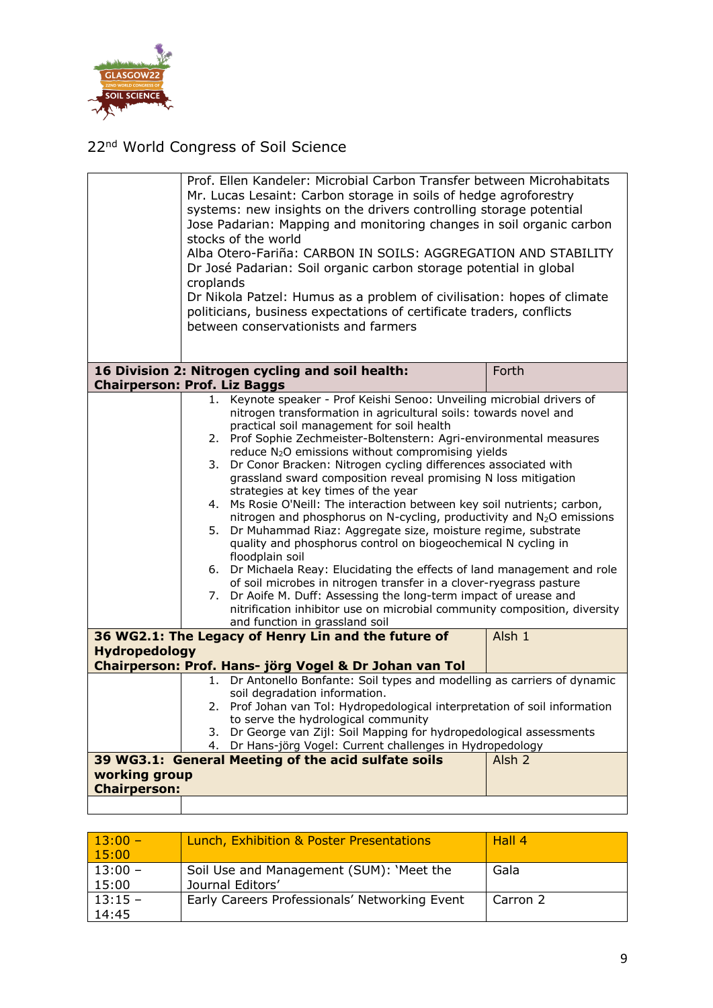

| Alba Otero-Fariña: CARBON IN SOILS: AGGREGATION AND STABILITY<br>Dr José Padarian: Soil organic carbon storage potential in global<br>croplands<br>Dr Nikola Patzel: Humus as a problem of civilisation: hopes of climate<br>politicians, business expectations of certificate traders, conflicts<br>between conservationists and farmers                                                                                                                                                                                                                                                                                                                                                                                                                                                                                                                                                                                                                                                                                                                                                                                                                                               |
|-----------------------------------------------------------------------------------------------------------------------------------------------------------------------------------------------------------------------------------------------------------------------------------------------------------------------------------------------------------------------------------------------------------------------------------------------------------------------------------------------------------------------------------------------------------------------------------------------------------------------------------------------------------------------------------------------------------------------------------------------------------------------------------------------------------------------------------------------------------------------------------------------------------------------------------------------------------------------------------------------------------------------------------------------------------------------------------------------------------------------------------------------------------------------------------------|
|                                                                                                                                                                                                                                                                                                                                                                                                                                                                                                                                                                                                                                                                                                                                                                                                                                                                                                                                                                                                                                                                                                                                                                                         |
| 16 Division 2: Nitrogen cycling and soil health:<br>Forth                                                                                                                                                                                                                                                                                                                                                                                                                                                                                                                                                                                                                                                                                                                                                                                                                                                                                                                                                                                                                                                                                                                               |
| <b>Chairperson: Prof. Liz Baggs</b>                                                                                                                                                                                                                                                                                                                                                                                                                                                                                                                                                                                                                                                                                                                                                                                                                                                                                                                                                                                                                                                                                                                                                     |
| 1. Keynote speaker - Prof Keishi Senoo: Unveiling microbial drivers of<br>nitrogen transformation in agricultural soils: towards novel and<br>practical soil management for soil health<br>Prof Sophie Zechmeister-Boltenstern: Agri-environmental measures<br>2.<br>reduce N <sub>2</sub> O emissions without compromising yields<br>Dr Conor Bracken: Nitrogen cycling differences associated with<br>3.<br>grassland sward composition reveal promising N loss mitigation<br>strategies at key times of the year<br>4. Ms Rosie O'Neill: The interaction between key soil nutrients; carbon,<br>nitrogen and phosphorus on N-cycling, productivity and N <sub>2</sub> O emissions<br>5. Dr Muhammad Riaz: Aggregate size, moisture regime, substrate<br>quality and phosphorus control on biogeochemical N cycling in<br>floodplain soil<br>Dr Michaela Reay: Elucidating the effects of land management and role<br>6.<br>of soil microbes in nitrogen transfer in a clover-ryegrass pasture<br>Dr Aoife M. Duff: Assessing the long-term impact of urease and<br>7.<br>nitrification inhibitor use on microbial community composition, diversity<br>and function in grassland soil |
| 36 WG2.1: The Legacy of Henry Lin and the future of<br>Alsh 1                                                                                                                                                                                                                                                                                                                                                                                                                                                                                                                                                                                                                                                                                                                                                                                                                                                                                                                                                                                                                                                                                                                           |
| <b>Hydropedology</b>                                                                                                                                                                                                                                                                                                                                                                                                                                                                                                                                                                                                                                                                                                                                                                                                                                                                                                                                                                                                                                                                                                                                                                    |
| Chairperson: Prof. Hans- jörg Vogel & Dr Johan van Tol                                                                                                                                                                                                                                                                                                                                                                                                                                                                                                                                                                                                                                                                                                                                                                                                                                                                                                                                                                                                                                                                                                                                  |
| Dr Antonello Bonfante: Soil types and modelling as carriers of dynamic<br>1.<br>soil degradation information.                                                                                                                                                                                                                                                                                                                                                                                                                                                                                                                                                                                                                                                                                                                                                                                                                                                                                                                                                                                                                                                                           |
| Prof Johan van Tol: Hydropedological interpretation of soil information<br>2.1                                                                                                                                                                                                                                                                                                                                                                                                                                                                                                                                                                                                                                                                                                                                                                                                                                                                                                                                                                                                                                                                                                          |
| to serve the hydrological community<br>Dr George van Zijl: Soil Mapping for hydropedological assessments                                                                                                                                                                                                                                                                                                                                                                                                                                                                                                                                                                                                                                                                                                                                                                                                                                                                                                                                                                                                                                                                                |
| 3.<br>Dr Hans-jörg Vogel: Current challenges in Hydropedology<br>4.                                                                                                                                                                                                                                                                                                                                                                                                                                                                                                                                                                                                                                                                                                                                                                                                                                                                                                                                                                                                                                                                                                                     |
| 39 WG3.1: General Meeting of the acid sulfate soils<br>Alsh <sub>2</sub>                                                                                                                                                                                                                                                                                                                                                                                                                                                                                                                                                                                                                                                                                                                                                                                                                                                                                                                                                                                                                                                                                                                |
| working group                                                                                                                                                                                                                                                                                                                                                                                                                                                                                                                                                                                                                                                                                                                                                                                                                                                                                                                                                                                                                                                                                                                                                                           |
| <b>Chairperson:</b>                                                                                                                                                                                                                                                                                                                                                                                                                                                                                                                                                                                                                                                                                                                                                                                                                                                                                                                                                                                                                                                                                                                                                                     |

| $13:00 -$ | Lunch, Exhibition & Poster Presentations      | Hall 4   |
|-----------|-----------------------------------------------|----------|
| 15:00     |                                               |          |
| $13:00 -$ | Soil Use and Management (SUM): 'Meet the      | Gala     |
| 15:00     | Journal Editors'                              |          |
| $13:15 -$ | Early Careers Professionals' Networking Event | Carron 2 |
| 14:45     |                                               |          |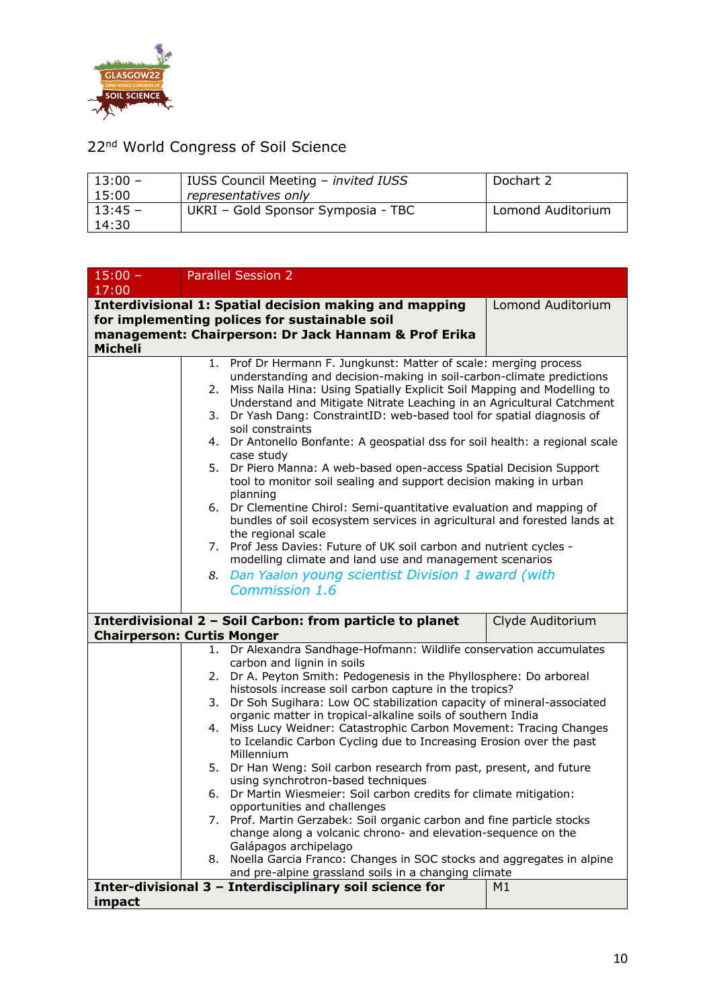

| $13:00 -$ | IUSS Council Meeting - invited IUSS | Dochart 2         |
|-----------|-------------------------------------|-------------------|
| 15:00     | representatives only                |                   |
| $13:45 -$ | UKRI - Gold Sponsor Symposia - TBC  | Lomond Auditorium |
| 14:30     |                                     |                   |

| $15:00 -$<br>17:00                                                           |    | <b>Parallel Session 2</b>                                                                                                                                        |                   |  |
|------------------------------------------------------------------------------|----|------------------------------------------------------------------------------------------------------------------------------------------------------------------|-------------------|--|
|                                                                              |    | <b>Interdivisional 1: Spatial decision making and mapping</b>                                                                                                    | Lomond Auditorium |  |
|                                                                              |    | for implementing polices for sustainable soil<br>management: Chairperson: Dr Jack Hannam & Prof Erika                                                            |                   |  |
| <b>Micheli</b>                                                               |    |                                                                                                                                                                  |                   |  |
|                                                                              |    | 1. Prof Dr Hermann F. Jungkunst: Matter of scale: merging process                                                                                                |                   |  |
|                                                                              | 2. | understanding and decision-making in soil-carbon-climate predictions<br>Miss Naila Hina: Using Spatially Explicit Soil Mapping and Modelling to                  |                   |  |
|                                                                              | 3. | Understand and Mitigate Nitrate Leaching in an Agricultural Catchment<br>Dr Yash Dang: ConstraintID: web-based tool for spatial diagnosis of<br>soil constraints |                   |  |
|                                                                              |    | 4. Dr Antonello Bonfante: A geospatial dss for soil health: a regional scale<br>case study                                                                       |                   |  |
|                                                                              |    | 5. Dr Piero Manna: A web-based open-access Spatial Decision Support<br>tool to monitor soil sealing and support decision making in urban<br>planning             |                   |  |
|                                                                              |    | 6. Dr Clementine Chirol: Semi-quantitative evaluation and mapping of<br>bundles of soil ecosystem services in agricultural and forested lands at                 |                   |  |
|                                                                              | 7. | the regional scale<br>Prof Jess Davies: Future of UK soil carbon and nutrient cycles -<br>modelling climate and land use and management scenarios                |                   |  |
|                                                                              | 8. | Dan Yaalon young scientist Division 1 award (with                                                                                                                |                   |  |
|                                                                              |    | Commission 1.6                                                                                                                                                   |                   |  |
| Interdivisional 2 - Soil Carbon: from particle to planet<br>Clyde Auditorium |    |                                                                                                                                                                  |                   |  |
| <b>Chairperson: Curtis Monger</b>                                            |    |                                                                                                                                                                  |                   |  |
|                                                                              |    | 1. Dr Alexandra Sandhage-Hofmann: Wildlife conservation accumulates                                                                                              |                   |  |
|                                                                              | 2. | carbon and lignin in soils<br>Dr A. Peyton Smith: Pedogenesis in the Phyllosphere: Do arboreal                                                                   |                   |  |
|                                                                              |    | histosols increase soil carbon capture in the tropics?                                                                                                           |                   |  |
|                                                                              | 3. | Dr Soh Sugihara: Low OC stabilization capacity of mineral-associated                                                                                             |                   |  |
|                                                                              | 4. | organic matter in tropical-alkaline soils of southern India<br>Miss Lucy Weidner: Catastrophic Carbon Movement: Tracing Changes                                  |                   |  |
|                                                                              |    | to Icelandic Carbon Cycling due to Increasing Erosion over the past                                                                                              |                   |  |
|                                                                              |    | Millennium                                                                                                                                                       |                   |  |
|                                                                              |    | 5. Dr Han Weng: Soil carbon research from past, present, and future                                                                                              |                   |  |
|                                                                              |    | using synchrotron-based techniques<br>6. Dr Martin Wiesmeier: Soil carbon credits for climate mitigation:                                                        |                   |  |
|                                                                              |    | opportunities and challenges                                                                                                                                     |                   |  |
|                                                                              |    | 7. Prof. Martin Gerzabek: Soil organic carbon and fine particle stocks                                                                                           |                   |  |
|                                                                              |    | change along a volcanic chrono- and elevation-sequence on the<br>Galápagos archipelago                                                                           |                   |  |
|                                                                              |    | 8. Noella Garcia Franco: Changes in SOC stocks and aggregates in alpine                                                                                          |                   |  |
|                                                                              |    | and pre-alpine grassland soils in a changing climate                                                                                                             |                   |  |
|                                                                              |    | Inter-divisional 3 - Interdisciplinary soil science for                                                                                                          | M1                |  |
| impact                                                                       |    |                                                                                                                                                                  |                   |  |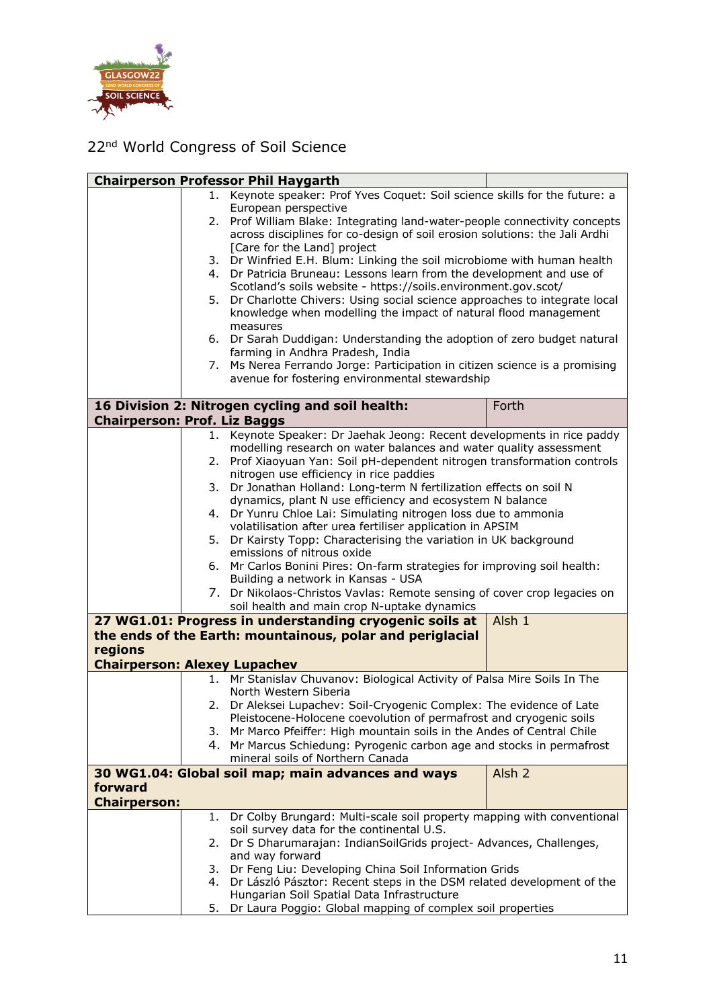

|                                     |      | <b>Chairperson Professor Phil Haygarth</b>                                                                                                    |                   |
|-------------------------------------|------|-----------------------------------------------------------------------------------------------------------------------------------------------|-------------------|
|                                     | 1. . | Keynote speaker: Prof Yves Coquet: Soil science skills for the future: a                                                                      |                   |
|                                     |      | European perspective                                                                                                                          |                   |
|                                     | 2.   | Prof William Blake: Integrating land-water-people connectivity concepts                                                                       |                   |
|                                     |      | across disciplines for co-design of soil erosion solutions: the Jali Ardhi                                                                    |                   |
|                                     |      | [Care for the Land] project                                                                                                                   |                   |
|                                     | 3.   | Dr Winfried E.H. Blum: Linking the soil microbiome with human health                                                                          |                   |
|                                     | 4.   | Dr Patricia Bruneau: Lessons learn from the development and use of                                                                            |                   |
|                                     |      | Scotland's soils website - https://soils.environment.gov.scot/                                                                                |                   |
|                                     | 5.   | Dr Charlotte Chivers: Using social science approaches to integrate local                                                                      |                   |
|                                     |      | knowledge when modelling the impact of natural flood management                                                                               |                   |
|                                     |      | measures                                                                                                                                      |                   |
|                                     | 6.   | Dr Sarah Duddigan: Understanding the adoption of zero budget natural                                                                          |                   |
|                                     |      | farming in Andhra Pradesh, India                                                                                                              |                   |
|                                     | 7.   | Ms Nerea Ferrando Jorge: Participation in citizen science is a promising<br>avenue for fostering environmental stewardship                    |                   |
|                                     |      |                                                                                                                                               |                   |
|                                     |      | 16 Division 2: Nitrogen cycling and soil health:                                                                                              | Forth             |
| <b>Chairperson: Prof. Liz Baggs</b> |      |                                                                                                                                               |                   |
|                                     |      | 1. Keynote Speaker: Dr Jaehak Jeong: Recent developments in rice paddy                                                                        |                   |
|                                     |      | modelling research on water balances and water quality assessment                                                                             |                   |
|                                     | 2.   | Prof Xiaoyuan Yan: Soil pH-dependent nitrogen transformation controls                                                                         |                   |
|                                     |      | nitrogen use efficiency in rice paddies                                                                                                       |                   |
|                                     | 3.   | Dr Jonathan Holland: Long-term N fertilization effects on soil N                                                                              |                   |
|                                     |      | dynamics, plant N use efficiency and ecosystem N balance                                                                                      |                   |
|                                     | 4.   | Dr Yunru Chloe Lai: Simulating nitrogen loss due to ammonia                                                                                   |                   |
|                                     |      | volatilisation after urea fertiliser application in APSIM                                                                                     |                   |
|                                     | 5.   | Dr Kairsty Topp: Characterising the variation in UK background                                                                                |                   |
|                                     |      | emissions of nitrous oxide                                                                                                                    |                   |
|                                     | 6.   | Mr Carlos Bonini Pires: On-farm strategies for improving soil health:                                                                         |                   |
|                                     |      | Building a network in Kansas - USA                                                                                                            |                   |
|                                     |      | 7. Dr Nikolaos-Christos Vavlas: Remote sensing of cover crop legacies on                                                                      |                   |
|                                     |      | soil health and main crop N-uptake dynamics                                                                                                   |                   |
|                                     |      | 27 WG1.01: Progress in understanding cryogenic soils at                                                                                       | Alsh 1            |
|                                     |      | the ends of the Earth: mountainous, polar and periglacial                                                                                     |                   |
| regions                             |      |                                                                                                                                               |                   |
| <b>Chairperson: Alexey Lupachev</b> |      |                                                                                                                                               |                   |
|                                     |      | 1. Mr Stanislav Chuvanov: Biological Activity of Palsa Mire Soils In The                                                                      |                   |
|                                     |      | North Western Siberia                                                                                                                         |                   |
|                                     |      | 2. Dr Aleksei Lupachev: Soil-Cryogenic Complex: The evidence of Late                                                                          |                   |
|                                     |      | Pleistocene-Holocene coevolution of permafrost and cryogenic soils<br>3. Mr Marco Pfeiffer: High mountain soils in the Andes of Central Chile |                   |
|                                     |      | 4. Mr Marcus Schiedung: Pyrogenic carbon age and stocks in permafrost                                                                         |                   |
|                                     |      | mineral soils of Northern Canada                                                                                                              |                   |
|                                     |      | 30 WG1.04: Global soil map; main advances and ways                                                                                            | Alsh <sub>2</sub> |
| forward                             |      |                                                                                                                                               |                   |
| <b>Chairperson:</b>                 |      |                                                                                                                                               |                   |
|                                     | 1.   | Dr Colby Brungard: Multi-scale soil property mapping with conventional                                                                        |                   |
|                                     |      | soil survey data for the continental U.S.                                                                                                     |                   |
|                                     | 2.   | Dr S Dharumarajan: IndianSoilGrids project- Advances, Challenges,                                                                             |                   |
|                                     |      | and way forward                                                                                                                               |                   |
|                                     | 3.   | Dr Feng Liu: Developing China Soil Information Grids                                                                                          |                   |
|                                     | 4.   | Dr László Pásztor: Recent steps in the DSM related development of the                                                                         |                   |
|                                     |      | Hungarian Soil Spatial Data Infrastructure                                                                                                    |                   |
|                                     | 5.   | Dr Laura Poggio: Global mapping of complex soil properties                                                                                    |                   |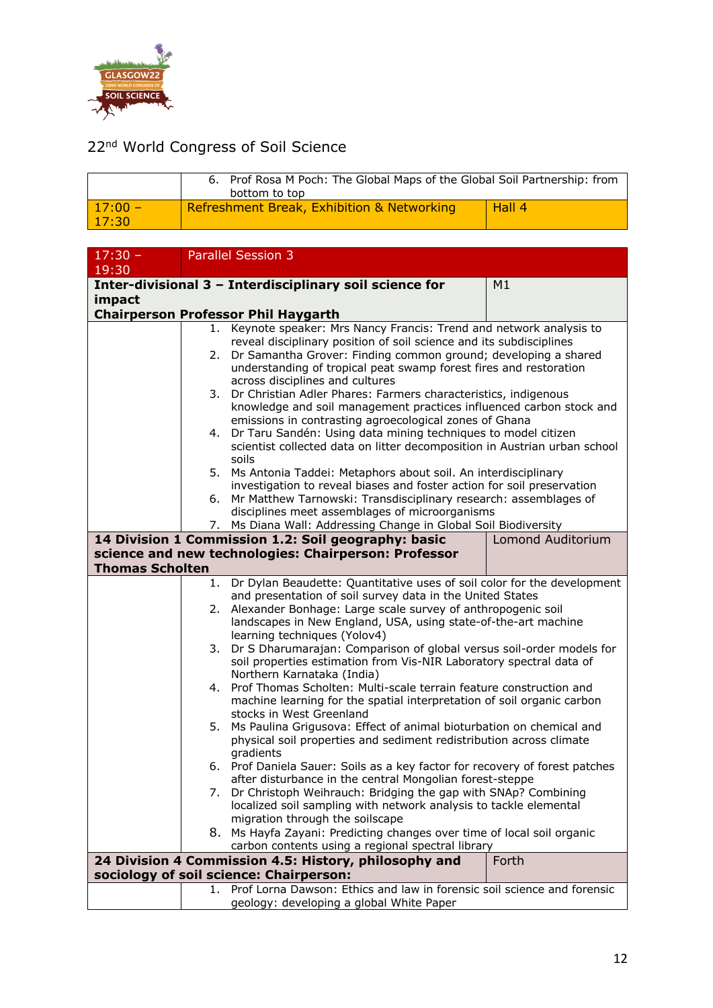

|                    | 6. Prof Rosa M Poch: The Global Maps of the Global Soil Partnership: from<br>bottom to top |        |
|--------------------|--------------------------------------------------------------------------------------------|--------|
| $17:00 -$<br>17:30 | Refreshment Break, Exhibition & Networking                                                 | Hall 4 |

| $17:30 -$                                                                       |    | <b>Parallel Session 3</b>                                                        |       |
|---------------------------------------------------------------------------------|----|----------------------------------------------------------------------------------|-------|
| 19:30                                                                           |    |                                                                                  |       |
|                                                                                 |    | Inter-divisional 3 - Interdisciplinary soil science for                          | M1    |
| impact                                                                          |    |                                                                                  |       |
|                                                                                 |    | <b>Chairperson Professor Phil Haygarth</b>                                       |       |
|                                                                                 | 1. | Keynote speaker: Mrs Nancy Francis: Trend and network analysis to                |       |
|                                                                                 |    | reveal disciplinary position of soil science and its subdisciplines              |       |
|                                                                                 | 2. | Dr Samantha Grover: Finding common ground; developing a shared                   |       |
|                                                                                 |    | understanding of tropical peat swamp forest fires and restoration                |       |
|                                                                                 |    | across disciplines and cultures                                                  |       |
|                                                                                 | 3. | Dr Christian Adler Phares: Farmers characteristics, indigenous                   |       |
|                                                                                 |    | knowledge and soil management practices influenced carbon stock and              |       |
|                                                                                 |    | emissions in contrasting agroecological zones of Ghana                           |       |
|                                                                                 |    | 4. Dr Taru Sandén: Using data mining techniques to model citizen                 |       |
|                                                                                 |    | scientist collected data on litter decomposition in Austrian urban school        |       |
|                                                                                 |    | soils                                                                            |       |
|                                                                                 | 5. | Ms Antonia Taddei: Metaphors about soil. An interdisciplinary                    |       |
|                                                                                 |    | investigation to reveal biases and foster action for soil preservation           |       |
|                                                                                 | 6. | Mr Matthew Tarnowski: Transdisciplinary research: assemblages of                 |       |
|                                                                                 |    | disciplines meet assemblages of microorganisms                                   |       |
|                                                                                 |    | 7. Ms Diana Wall: Addressing Change in Global Soil Biodiversity                  |       |
| 14 Division 1 Commission 1.2: Soil geography: basic<br><b>Lomond Auditorium</b> |    |                                                                                  |       |
| science and new technologies: Chairperson: Professor                            |    |                                                                                  |       |
| <b>Thomas Scholten</b>                                                          |    |                                                                                  |       |
|                                                                                 | 1. | Dr Dylan Beaudette: Quantitative uses of soil color for the development          |       |
|                                                                                 |    | and presentation of soil survey data in the United States                        |       |
|                                                                                 | 2. | Alexander Bonhage: Large scale survey of anthropogenic soil                      |       |
|                                                                                 |    | landscapes in New England, USA, using state-of-the-art machine                   |       |
|                                                                                 |    | learning techniques (Yolov4)                                                     |       |
|                                                                                 |    | 3. Dr S Dharumarajan: Comparison of global versus soil-order models for          |       |
|                                                                                 |    | soil properties estimation from Vis-NIR Laboratory spectral data of              |       |
|                                                                                 |    | Northern Karnataka (India)                                                       |       |
|                                                                                 | 4. | Prof Thomas Scholten: Multi-scale terrain feature construction and               |       |
|                                                                                 |    | machine learning for the spatial interpretation of soil organic carbon           |       |
|                                                                                 |    | stocks in West Greenland                                                         |       |
|                                                                                 | 5. | Ms Paulina Grigusova: Effect of animal bioturbation on chemical and              |       |
|                                                                                 |    | physical soil properties and sediment redistribution across climate<br>gradients |       |
|                                                                                 |    | 6. Prof Daniela Sauer: Soils as a key factor for recovery of forest patches      |       |
|                                                                                 |    | after disturbance in the central Mongolian forest-steppe                         |       |
|                                                                                 |    | 7. Dr Christoph Weihrauch: Bridging the gap with SNAp? Combining                 |       |
|                                                                                 |    | localized soil sampling with network analysis to tackle elemental                |       |
|                                                                                 |    | migration through the soilscape                                                  |       |
|                                                                                 |    | 8. Ms Hayfa Zayani: Predicting changes over time of local soil organic           |       |
|                                                                                 |    | carbon contents using a regional spectral library                                |       |
|                                                                                 |    | 24 Division 4 Commission 4.5: History, philosophy and                            | Forth |
|                                                                                 |    | sociology of soil science: Chairperson:                                          |       |
|                                                                                 |    | 1. Prof Lorna Dawson: Ethics and law in forensic soil science and forensic       |       |
|                                                                                 |    | geology: developing a global White Paper                                         |       |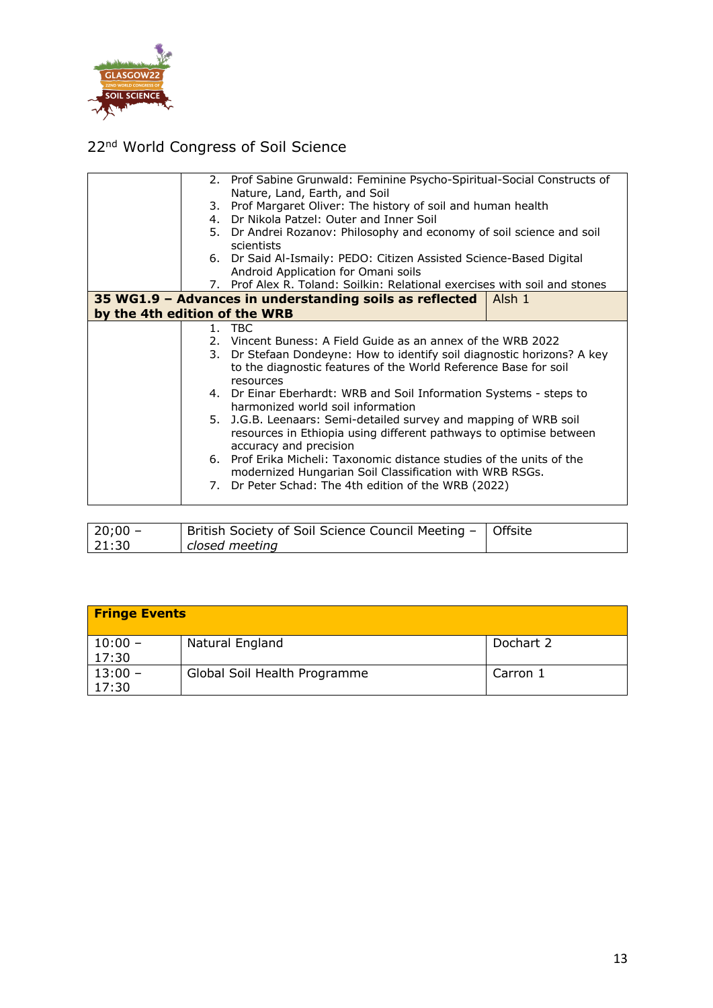

|                               |    | 2. Prof Sabine Grunwald: Feminine Psycho-Spiritual-Social Constructs of                                                                                                                                                                                                                               |                   |  |
|-------------------------------|----|-------------------------------------------------------------------------------------------------------------------------------------------------------------------------------------------------------------------------------------------------------------------------------------------------------|-------------------|--|
|                               |    | Nature, Land, Earth, and Soil                                                                                                                                                                                                                                                                         |                   |  |
|                               | 3. | Prof Margaret Oliver: The history of soil and human health                                                                                                                                                                                                                                            |                   |  |
|                               |    | 4. Dr Nikola Patzel: Outer and Inner Soil                                                                                                                                                                                                                                                             |                   |  |
|                               |    | 5. Dr Andrei Rozanov: Philosophy and economy of soil science and soil                                                                                                                                                                                                                                 |                   |  |
|                               |    | scientists                                                                                                                                                                                                                                                                                            |                   |  |
|                               |    | 6. Dr Said Al-Ismaily: PEDO: Citizen Assisted Science-Based Digital                                                                                                                                                                                                                                   |                   |  |
|                               |    | Android Application for Omani soils                                                                                                                                                                                                                                                                   |                   |  |
|                               |    | 7. Prof Alex R. Toland: Soilkin: Relational exercises with soil and stones                                                                                                                                                                                                                            |                   |  |
|                               |    | 35 WG1.9 - Advances in understanding soils as reflected<br>Alsh 1                                                                                                                                                                                                                                     |                   |  |
| by the 4th edition of the WRB |    |                                                                                                                                                                                                                                                                                                       |                   |  |
|                               |    | 1. TBC                                                                                                                                                                                                                                                                                                |                   |  |
|                               |    | 2. Vincent Buness: A Field Guide as an annex of the WRB 2022                                                                                                                                                                                                                                          |                   |  |
|                               | 3. | Dr Stefaan Dondeyne: How to identify soil diagnostic horizons? A key                                                                                                                                                                                                                                  |                   |  |
|                               |    | to the diagnostic features of the World Reference Base for soil                                                                                                                                                                                                                                       |                   |  |
|                               |    | resources                                                                                                                                                                                                                                                                                             |                   |  |
|                               |    | 4. Dr Einar Eberhardt: WRB and Soil Information Systems - steps to                                                                                                                                                                                                                                    |                   |  |
|                               |    | harmonized world soil information                                                                                                                                                                                                                                                                     |                   |  |
|                               |    | 5. J.G.B. Leenaars: Semi-detailed survey and mapping of WRB soil                                                                                                                                                                                                                                      |                   |  |
|                               |    | resources in Ethiopia using different pathways to optimise between                                                                                                                                                                                                                                    |                   |  |
|                               |    | accuracy and precision                                                                                                                                                                                                                                                                                |                   |  |
|                               |    | 6. Prof Erika Micheli: Taxonomic distance studies of the units of the                                                                                                                                                                                                                                 |                   |  |
|                               |    | modernized Hungarian Soil Classification with WRB RSGs.                                                                                                                                                                                                                                               |                   |  |
|                               |    | 7. Dr Peter Schad: The 4th edition of the WRB (2022)                                                                                                                                                                                                                                                  |                   |  |
|                               |    |                                                                                                                                                                                                                                                                                                       |                   |  |
|                               |    |                                                                                                                                                                                                                                                                                                       |                   |  |
| 2000                          |    | $R = 11.16$ $R = 11.16$ $R = 11.16$ $R = 11.16$<br>$\sim$ $\sim$<br>$\mathbf{A}$ . The contract of the contract of the contract of the contract of the contract of the contract of the contract of the contract of the contract of the contract of the contract of the contract of the contract of th | $\sim$ cc. $\sim$ |  |
|                               |    |                                                                                                                                                                                                                                                                                                       |                   |  |

| $ 20;00 -$ | British Society of Soil Science Council Meeting -   Offsite |  |
|------------|-------------------------------------------------------------|--|
| 21:30      | closed meeting                                              |  |

| <b>Fringe Events</b> |                              |           |  |  |
|----------------------|------------------------------|-----------|--|--|
| $10:00 -$<br>17:30   | Natural England              | Dochart 2 |  |  |
| $13:00 -$<br>17:30   | Global Soil Health Programme | Carron 1  |  |  |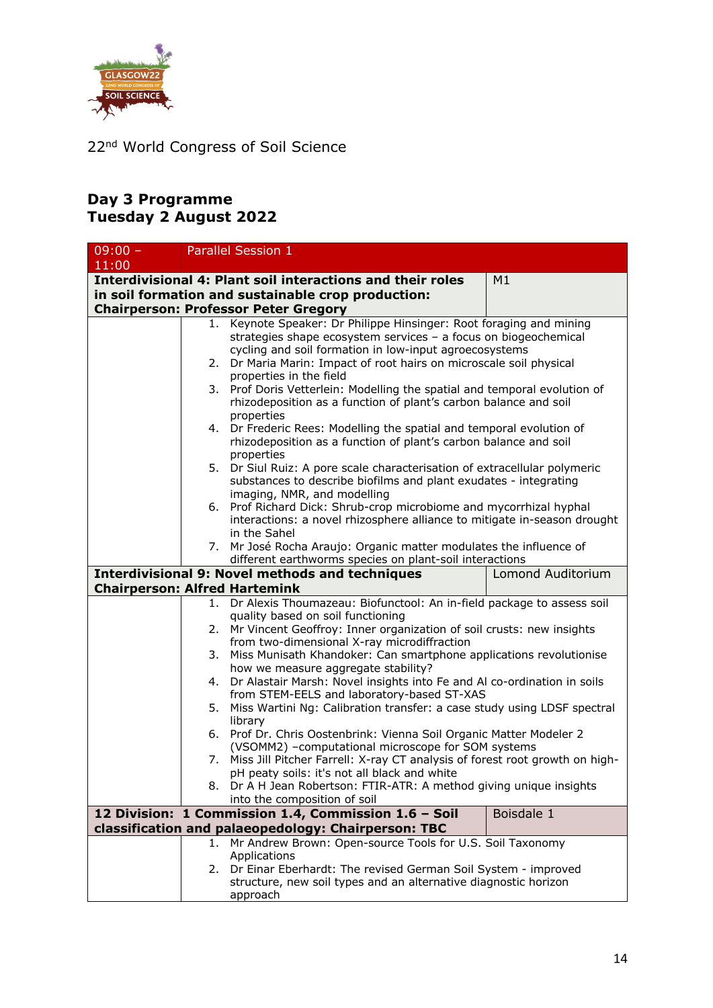

#### **Day 3 Programme Tuesday 2 August 2022**

| $09:00 -$                            |                             | Parallel Session 1                                                                                           |                   |
|--------------------------------------|-----------------------------|--------------------------------------------------------------------------------------------------------------|-------------------|
| 11:00                                |                             |                                                                                                              |                   |
|                                      |                             | <b>Interdivisional 4: Plant soil interactions and their roles</b>                                            | M1                |
|                                      |                             | in soil formation and sustainable crop production:                                                           |                   |
|                                      |                             | <b>Chairperson: Professor Peter Gregory</b>                                                                  |                   |
|                                      |                             | Keynote Speaker: Dr Philippe Hinsinger: Root foraging and mining                                             |                   |
|                                      |                             | strategies shape ecosystem services - a focus on biogeochemical                                              |                   |
|                                      |                             | cycling and soil formation in low-input agroecosystems                                                       |                   |
|                                      | 2.                          | Dr Maria Marin: Impact of root hairs on microscale soil physical                                             |                   |
|                                      |                             | properties in the field                                                                                      |                   |
|                                      |                             | 3. Prof Doris Vetterlein: Modelling the spatial and temporal evolution of                                    |                   |
|                                      |                             | rhizodeposition as a function of plant's carbon balance and soil                                             |                   |
|                                      |                             | properties<br>4. Dr Frederic Rees: Modelling the spatial and temporal evolution of                           |                   |
|                                      |                             | rhizodeposition as a function of plant's carbon balance and soil                                             |                   |
|                                      |                             | properties                                                                                                   |                   |
|                                      |                             | 5. Dr Siul Ruiz: A pore scale characterisation of extracellular polymeric                                    |                   |
|                                      |                             | substances to describe biofilms and plant exudates - integrating                                             |                   |
|                                      | imaging, NMR, and modelling |                                                                                                              |                   |
|                                      |                             | 6. Prof Richard Dick: Shrub-crop microbiome and mycorrhizal hyphal                                           |                   |
|                                      |                             | interactions: a novel rhizosphere alliance to mitigate in-season drought                                     |                   |
|                                      | in the Sahel                |                                                                                                              |                   |
|                                      |                             | 7. Mr José Rocha Araujo: Organic matter modulates the influence of                                           |                   |
|                                      |                             | different earthworms species on plant-soil interactions                                                      |                   |
|                                      |                             | <b>Interdivisional 9: Novel methods and techniques</b>                                                       | Lomond Auditorium |
| <b>Chairperson: Alfred Hartemink</b> |                             |                                                                                                              |                   |
|                                      | 1.                          | Dr Alexis Thoumazeau: Biofunctool: An in-field package to assess soil                                        |                   |
|                                      |                             | quality based on soil functioning<br>2. Mr Vincent Geoffroy: Inner organization of soil crusts: new insights |                   |
|                                      |                             | from two-dimensional X-ray microdiffraction                                                                  |                   |
|                                      | 3.                          | Miss Munisath Khandoker: Can smartphone applications revolutionise                                           |                   |
|                                      |                             | how we measure aggregate stability?                                                                          |                   |
|                                      | 4.                          | Dr Alastair Marsh: Novel insights into Fe and Al co-ordination in soils                                      |                   |
|                                      |                             | from STEM-EELS and laboratory-based ST-XAS                                                                   |                   |
|                                      | 5.                          | Miss Wartini Ng: Calibration transfer: a case study using LDSF spectral                                      |                   |
|                                      |                             | library                                                                                                      |                   |
|                                      | 6.                          | Prof Dr. Chris Oostenbrink: Vienna Soil Organic Matter Modeler 2                                             |                   |
|                                      |                             | (VSOMM2) -computational microscope for SOM systems                                                           |                   |
|                                      | 7.                          | Miss Jill Pitcher Farrell: X-ray CT analysis of forest root growth on high-                                  |                   |
|                                      |                             | pH peaty soils: it's not all black and white                                                                 |                   |
|                                      |                             | 8. Dr A H Jean Robertson: FTIR-ATR: A method giving unique insights                                          |                   |
|                                      |                             | into the composition of soil<br>12 Division: 1 Commission 1.4, Commission 1.6 - Soil                         | Boisdale 1        |
|                                      |                             | classification and palaeopedology: Chairperson: TBC                                                          |                   |
|                                      | 1.                          | Mr Andrew Brown: Open-source Tools for U.S. Soil Taxonomy                                                    |                   |
|                                      |                             | Applications                                                                                                 |                   |
|                                      |                             | 2. Dr Einar Eberhardt: The revised German Soil System - improved                                             |                   |
|                                      |                             | structure, new soil types and an alternative diagnostic horizon                                              |                   |
|                                      |                             | approach                                                                                                     |                   |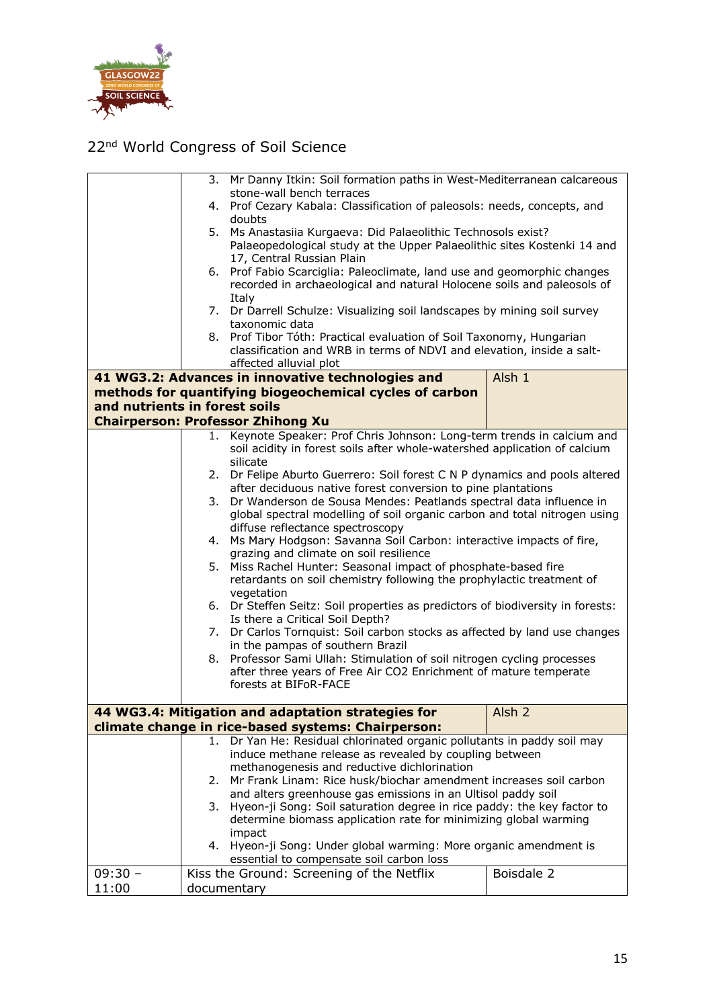

|                               |                                                                          | 3. Mr Danny Itkin: Soil formation paths in West-Mediterranean calcareous                                                          |                   |
|-------------------------------|--------------------------------------------------------------------------|-----------------------------------------------------------------------------------------------------------------------------------|-------------------|
|                               | stone-wall bench terraces                                                |                                                                                                                                   |                   |
|                               | 4. Prof Cezary Kabala: Classification of paleosols: needs, concepts, and |                                                                                                                                   |                   |
|                               | doubts<br>5. Ms Anastasiia Kurgaeva: Did Palaeolithic Technosols exist?  |                                                                                                                                   |                   |
|                               |                                                                          | Palaeopedological study at the Upper Palaeolithic sites Kostenki 14 and                                                           |                   |
|                               |                                                                          | 17, Central Russian Plain                                                                                                         |                   |
|                               |                                                                          | 6. Prof Fabio Scarciglia: Paleoclimate, land use and geomorphic changes                                                           |                   |
|                               |                                                                          | recorded in archaeological and natural Holocene soils and paleosols of                                                            |                   |
|                               |                                                                          | Italy                                                                                                                             |                   |
|                               |                                                                          | 7. Dr Darrell Schulze: Visualizing soil landscapes by mining soil survey                                                          |                   |
|                               |                                                                          | taxonomic data                                                                                                                    |                   |
|                               |                                                                          | 8. Prof Tibor Tóth: Practical evaluation of Soil Taxonomy, Hungarian                                                              |                   |
|                               |                                                                          | classification and WRB in terms of NDVI and elevation, inside a salt-<br>affected alluvial plot                                   |                   |
|                               |                                                                          | 41 WG3.2: Advances in innovative technologies and                                                                                 | Alsh 1            |
|                               |                                                                          | methods for quantifying biogeochemical cycles of carbon                                                                           |                   |
| and nutrients in forest soils |                                                                          |                                                                                                                                   |                   |
|                               |                                                                          | <b>Chairperson: Professor Zhihong Xu</b>                                                                                          |                   |
|                               |                                                                          | 1. Keynote Speaker: Prof Chris Johnson: Long-term trends in calcium and                                                           |                   |
|                               |                                                                          | soil acidity in forest soils after whole-watershed application of calcium                                                         |                   |
|                               |                                                                          | silicate                                                                                                                          |                   |
|                               |                                                                          | 2. Dr Felipe Aburto Guerrero: Soil forest C N P dynamics and pools altered                                                        |                   |
|                               |                                                                          | after deciduous native forest conversion to pine plantations                                                                      |                   |
|                               |                                                                          | 3. Dr Wanderson de Sousa Mendes: Peatlands spectral data influence in                                                             |                   |
|                               |                                                                          | global spectral modelling of soil organic carbon and total nitrogen using                                                         |                   |
|                               |                                                                          | diffuse reflectance spectroscopy                                                                                                  |                   |
|                               |                                                                          | 4. Ms Mary Hodgson: Savanna Soil Carbon: interactive impacts of fire,<br>grazing and climate on soil resilience                   |                   |
|                               | 5.                                                                       | Miss Rachel Hunter: Seasonal impact of phosphate-based fire                                                                       |                   |
|                               |                                                                          | retardants on soil chemistry following the prophylactic treatment of                                                              |                   |
|                               |                                                                          | vegetation                                                                                                                        |                   |
|                               |                                                                          | 6. Dr Steffen Seitz: Soil properties as predictors of biodiversity in forests:                                                    |                   |
|                               |                                                                          | Is there a Critical Soil Depth?                                                                                                   |                   |
|                               |                                                                          | 7. Dr Carlos Tornquist: Soil carbon stocks as affected by land use changes<br>in the pampas of southern Brazil                    |                   |
|                               |                                                                          | 8. Professor Sami Ullah: Stimulation of soil nitrogen cycling processes                                                           |                   |
|                               |                                                                          | after three years of Free Air CO2 Enrichment of mature temperate                                                                  |                   |
|                               |                                                                          | forests at BIFoR-FACE                                                                                                             |                   |
|                               |                                                                          |                                                                                                                                   |                   |
|                               |                                                                          | 44 WG3.4: Mitigation and adaptation strategies for                                                                                | Alsh <sub>2</sub> |
|                               |                                                                          | climate change in rice-based systems: Chairperson:                                                                                |                   |
|                               |                                                                          | 1. Dr Yan He: Residual chlorinated organic pollutants in paddy soil may                                                           |                   |
|                               |                                                                          | induce methane release as revealed by coupling between                                                                            |                   |
|                               |                                                                          | methanogenesis and reductive dichlorination                                                                                       |                   |
|                               | 2.                                                                       | Mr Frank Linam: Rice husk/biochar amendment increases soil carbon<br>and alters greenhouse gas emissions in an Ultisol paddy soil |                   |
|                               | 3.                                                                       | Hyeon-ji Song: Soil saturation degree in rice paddy: the key factor to                                                            |                   |
|                               |                                                                          | determine biomass application rate for minimizing global warming                                                                  |                   |
|                               |                                                                          | impact                                                                                                                            |                   |
|                               |                                                                          | 4. Hyeon-ji Song: Under global warming: More organic amendment is                                                                 |                   |
|                               |                                                                          | essential to compensate soil carbon loss                                                                                          |                   |
| $09:30 -$                     |                                                                          | Kiss the Ground: Screening of the Netflix                                                                                         | Boisdale 2        |
| 11:00                         |                                                                          | documentary                                                                                                                       |                   |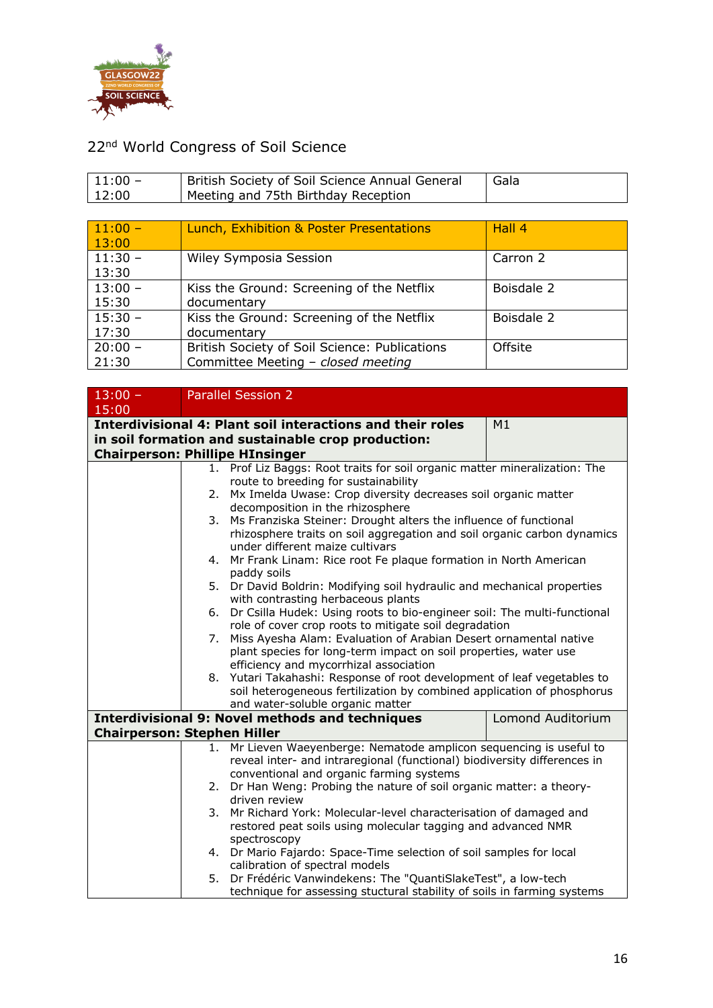

| $ 11:00 -$ | <sup>1</sup> British Society of Soil Science Annual General | Gala |
|------------|-------------------------------------------------------------|------|
| 12:00      | Meeting and 75th Birthday Reception                         |      |

| $11:00 -$<br>13:00 | Lunch, Exhibition & Poster Presentations                                            | Hall 4     |
|--------------------|-------------------------------------------------------------------------------------|------------|
| $11:30 -$<br>13:30 | Wiley Symposia Session                                                              | Carron 2   |
| $13:00 -$<br>15:30 | Kiss the Ground: Screening of the Netflix<br>documentary                            | Boisdale 2 |
| $15:30 -$<br>17:30 | Kiss the Ground: Screening of the Netflix<br>documentary                            | Boisdale 2 |
| $20:00 -$<br>21:30 | British Society of Soil Science: Publications<br>Committee Meeting - closed meeting | Offsite    |

| $13:00 -$                              |                                  | <b>Parallel Session 2</b>                                                                                     |                          |  |
|----------------------------------------|----------------------------------|---------------------------------------------------------------------------------------------------------------|--------------------------|--|
| 15:00                                  |                                  |                                                                                                               |                          |  |
|                                        |                                  | <b>Interdivisional 4: Plant soil interactions and their roles</b>                                             | M1                       |  |
|                                        |                                  | in soil formation and sustainable crop production:                                                            |                          |  |
| <b>Chairperson: Phillipe HInsinger</b> |                                  |                                                                                                               |                          |  |
|                                        |                                  | 1. Prof Liz Baggs: Root traits for soil organic matter mineralization: The                                    |                          |  |
|                                        |                                  | route to breeding for sustainability                                                                          |                          |  |
|                                        | 2.                               | Mx Imelda Uwase: Crop diversity decreases soil organic matter                                                 |                          |  |
|                                        |                                  | decomposition in the rhizosphere                                                                              |                          |  |
|                                        | 3.                               | Ms Franziska Steiner: Drought alters the influence of functional                                              |                          |  |
|                                        |                                  | rhizosphere traits on soil aggregation and soil organic carbon dynamics                                       |                          |  |
|                                        |                                  | under different maize cultivars                                                                               |                          |  |
|                                        | 4.                               | Mr Frank Linam: Rice root Fe plaque formation in North American                                               |                          |  |
|                                        |                                  | paddy soils                                                                                                   |                          |  |
|                                        |                                  | 5. Dr David Boldrin: Modifying soil hydraulic and mechanical properties<br>with contrasting herbaceous plants |                          |  |
|                                        | 6.                               | Dr Csilla Hudek: Using roots to bio-engineer soil: The multi-functional                                       |                          |  |
|                                        |                                  | role of cover crop roots to mitigate soil degradation                                                         |                          |  |
|                                        | 7.                               | Miss Ayesha Alam: Evaluation of Arabian Desert ornamental native                                              |                          |  |
|                                        |                                  | plant species for long-term impact on soil properties, water use                                              |                          |  |
|                                        |                                  | efficiency and mycorrhizal association                                                                        |                          |  |
|                                        |                                  | 8. Yutari Takahashi: Response of root development of leaf vegetables to                                       |                          |  |
|                                        |                                  | soil heterogeneous fertilization by combined application of phosphorus                                        |                          |  |
|                                        | and water-soluble organic matter |                                                                                                               |                          |  |
|                                        |                                  | <b>Interdivisional 9: Novel methods and techniques</b>                                                        | <b>Lomond Auditorium</b> |  |
| <b>Chairperson: Stephen Hiller</b>     |                                  |                                                                                                               |                          |  |
|                                        | 1.                               | Mr Lieven Waeyenberge: Nematode amplicon sequencing is useful to                                              |                          |  |
|                                        |                                  | reveal inter- and intraregional (functional) biodiversity differences in                                      |                          |  |
|                                        |                                  | conventional and organic farming systems                                                                      |                          |  |
|                                        |                                  | 2. Dr Han Weng: Probing the nature of soil organic matter: a theory-                                          |                          |  |
|                                        |                                  | driven review                                                                                                 |                          |  |
|                                        |                                  | 3. Mr Richard York: Molecular-level characterisation of damaged and                                           |                          |  |
|                                        |                                  | restored peat soils using molecular tagging and advanced NMR                                                  |                          |  |
|                                        |                                  | spectroscopy                                                                                                  |                          |  |
|                                        |                                  | 4. Dr Mario Fajardo: Space-Time selection of soil samples for local                                           |                          |  |
|                                        |                                  | calibration of spectral models                                                                                |                          |  |
|                                        | 5.                               | Dr Frédéric Vanwindekens: The "QuantiSlakeTest", a low-tech                                                   |                          |  |
|                                        |                                  | technique for assessing stuctural stability of soils in farming systems                                       |                          |  |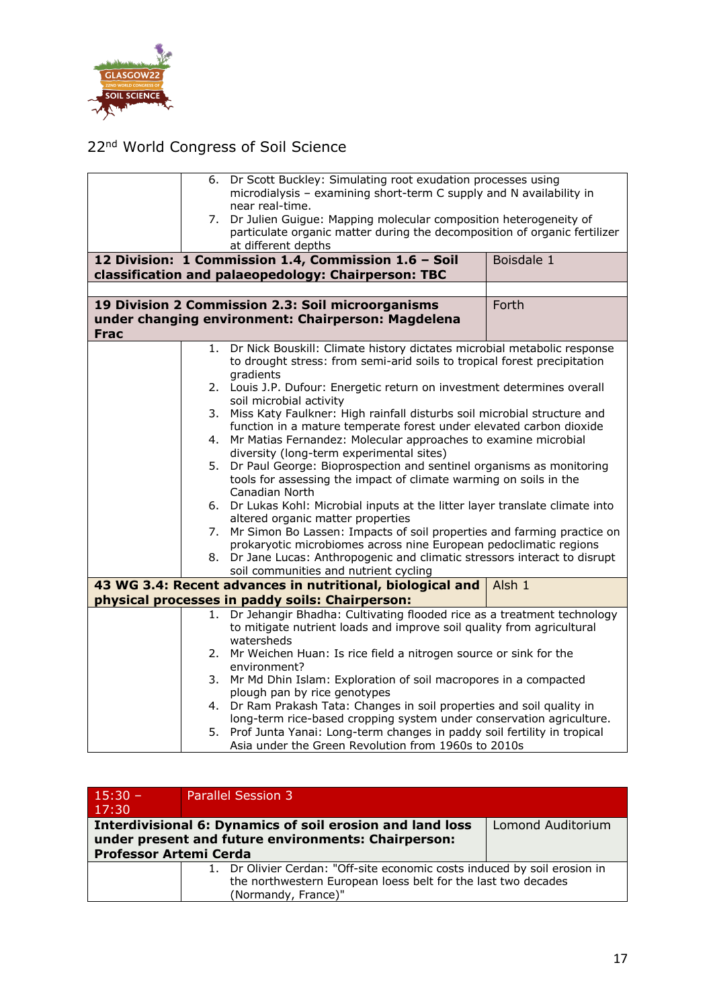

|             |    | 6. Dr Scott Buckley: Simulating root exudation processes using             |                                                                               |  |
|-------------|----|----------------------------------------------------------------------------|-------------------------------------------------------------------------------|--|
|             |    | microdialysis - examining short-term C supply and N availability in        |                                                                               |  |
|             |    | near real-time.                                                            |                                                                               |  |
|             |    | 7. Dr Julien Guigue: Mapping molecular composition heterogeneity of        |                                                                               |  |
|             |    | particulate organic matter during the decomposition of organic fertilizer  |                                                                               |  |
|             |    | at different depths                                                        |                                                                               |  |
|             |    | 12 Division: 1 Commission 1.4, Commission 1.6 - Soil                       | Boisdale 1                                                                    |  |
|             |    | classification and palaeopedology: Chairperson: TBC                        |                                                                               |  |
|             |    |                                                                            |                                                                               |  |
|             |    | 19 Division 2 Commission 2.3: Soil microorganisms                          | Forth                                                                         |  |
|             |    | under changing environment: Chairperson: Magdelena                         |                                                                               |  |
| <b>Frac</b> |    |                                                                            |                                                                               |  |
|             |    |                                                                            |                                                                               |  |
|             | 1. | Dr Nick Bouskill: Climate history dictates microbial metabolic response    |                                                                               |  |
|             |    | to drought stress: from semi-arid soils to tropical forest precipitation   |                                                                               |  |
|             |    | gradients                                                                  |                                                                               |  |
|             |    | 2. Louis J.P. Dufour: Energetic return on investment determines overall    |                                                                               |  |
|             |    | soil microbial activity                                                    |                                                                               |  |
|             | 3. | Miss Katy Faulkner: High rainfall disturbs soil microbial structure and    |                                                                               |  |
|             |    | function in a mature temperate forest under elevated carbon dioxide        |                                                                               |  |
|             | 4. | Mr Matias Fernandez: Molecular approaches to examine microbial             |                                                                               |  |
|             |    | diversity (long-term experimental sites)                                   |                                                                               |  |
|             |    | 5. Dr Paul George: Bioprospection and sentinel organisms as monitoring     |                                                                               |  |
|             |    | tools for assessing the impact of climate warming on soils in the          |                                                                               |  |
|             |    | Canadian North                                                             |                                                                               |  |
|             |    |                                                                            | 6. Dr Lukas Kohl: Microbial inputs at the litter layer translate climate into |  |
|             |    | altered organic matter properties                                          |                                                                               |  |
|             | 7. | Mr Simon Bo Lassen: Impacts of soil properties and farming practice on     |                                                                               |  |
|             |    | prokaryotic microbiomes across nine European pedoclimatic regions          |                                                                               |  |
|             |    | 8. Dr Jane Lucas: Anthropogenic and climatic stressors interact to disrupt |                                                                               |  |
|             |    | soil communities and nutrient cycling                                      |                                                                               |  |
|             |    | 43 WG 3.4: Recent advances in nutritional, biological and                  | Alsh 1                                                                        |  |
|             |    | physical processes in paddy soils: Chairperson:                            |                                                                               |  |
|             | 1. | Dr Jehangir Bhadha: Cultivating flooded rice as a treatment technology     |                                                                               |  |
|             |    | to mitigate nutrient loads and improve soil quality from agricultural      |                                                                               |  |
|             |    | watersheds                                                                 |                                                                               |  |
|             |    | 2. Mr Weichen Huan: Is rice field a nitrogen source or sink for the        |                                                                               |  |
|             |    | environment?                                                               |                                                                               |  |
|             | 3. | Mr Md Dhin Islam: Exploration of soil macropores in a compacted            |                                                                               |  |
|             |    | plough pan by rice genotypes                                               |                                                                               |  |
|             | 4. | Dr Ram Prakash Tata: Changes in soil properties and soil quality in        |                                                                               |  |
|             |    | long-term rice-based cropping system under conservation agriculture.       |                                                                               |  |
|             | 5. | Prof Junta Yanai: Long-term changes in paddy soil fertility in tropical    |                                                                               |  |
|             |    | Asia under the Green Revolution from 1960s to 2010s                        |                                                                               |  |

| $15:30 -$                     | <b>Parallel Session 3</b>                                                 |                   |
|-------------------------------|---------------------------------------------------------------------------|-------------------|
| 17:30                         |                                                                           |                   |
|                               | <b>Interdivisional 6: Dynamics of soil erosion and land loss</b>          | Lomond Auditorium |
|                               | under present and future environments: Chairperson:                       |                   |
| <b>Professor Artemi Cerda</b> |                                                                           |                   |
|                               | 1. Dr Olivier Cerdan: "Off-site economic costs induced by soil erosion in |                   |
|                               | the northwestern European loess belt for the last two decades             |                   |
|                               | (Normandy, France)"                                                       |                   |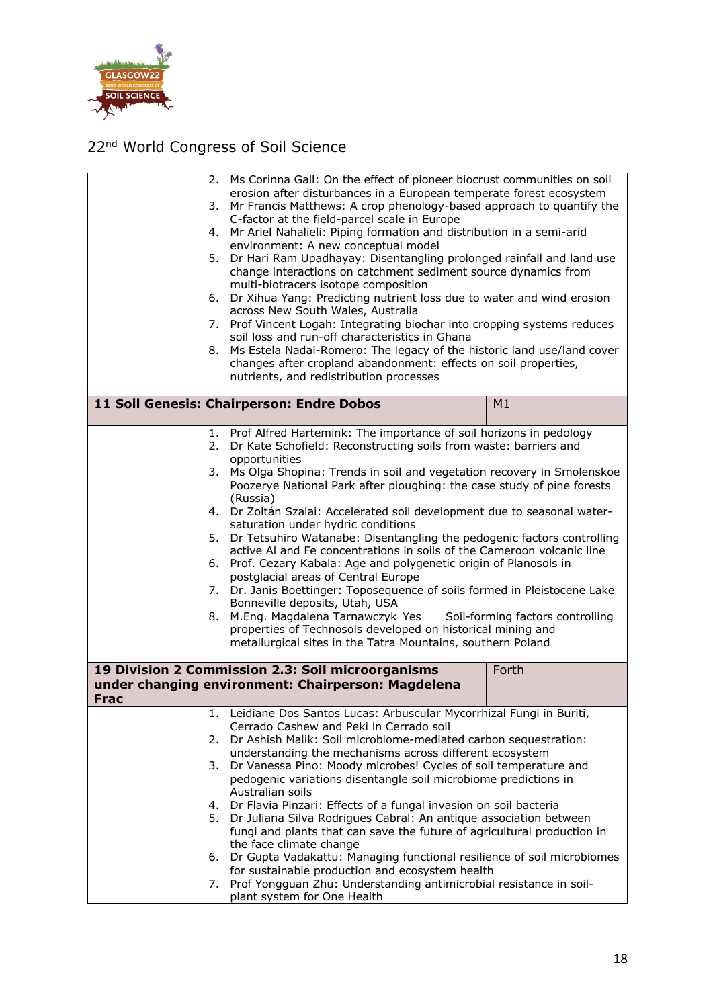

|             | 4.<br>7. | 2. Ms Corinna Gall: On the effect of pioneer biocrust communities on soil<br>erosion after disturbances in a European temperate forest ecosystem<br>3. Mr Francis Matthews: A crop phenology-based approach to quantify the<br>C-factor at the field-parcel scale in Europe<br>Mr Ariel Nahalieli: Piping formation and distribution in a semi-arid<br>environment: A new conceptual model<br>5. Dr Hari Ram Upadhayay: Disentangling prolonged rainfall and land use<br>change interactions on catchment sediment source dynamics from<br>multi-biotracers isotope composition<br>6. Dr Xihua Yang: Predicting nutrient loss due to water and wind erosion<br>across New South Wales, Australia<br>Prof Vincent Logah: Integrating biochar into cropping systems reduces<br>soil loss and run-off characteristics in Ghana<br>8. Ms Estela Nadal-Romero: The legacy of the historic land use/land cover<br>changes after cropland abandonment: effects on soil properties,<br>nutrients, and redistribution processes                                                                   |       |
|-------------|----------|------------------------------------------------------------------------------------------------------------------------------------------------------------------------------------------------------------------------------------------------------------------------------------------------------------------------------------------------------------------------------------------------------------------------------------------------------------------------------------------------------------------------------------------------------------------------------------------------------------------------------------------------------------------------------------------------------------------------------------------------------------------------------------------------------------------------------------------------------------------------------------------------------------------------------------------------------------------------------------------------------------------------------------------------------------------------------------------|-------|
|             |          | 11 Soil Genesis: Chairperson: Endre Dobos                                                                                                                                                                                                                                                                                                                                                                                                                                                                                                                                                                                                                                                                                                                                                                                                                                                                                                                                                                                                                                                | M1    |
|             | 2.<br>8. | 1. Prof Alfred Hartemink: The importance of soil horizons in pedology<br>Dr Kate Schofield: Reconstructing soils from waste: barriers and<br>opportunities<br>3. Ms Olga Shopina: Trends in soil and vegetation recovery in Smolenskoe<br>Poozerye National Park after ploughing: the case study of pine forests<br>(Russia)<br>4. Dr Zoltán Szalai: Accelerated soil development due to seasonal water-<br>saturation under hydric conditions<br>5. Dr Tetsuhiro Watanabe: Disentangling the pedogenic factors controlling<br>active AI and Fe concentrations in soils of the Cameroon volcanic line<br>6. Prof. Cezary Kabala: Age and polygenetic origin of Planosols in<br>postglacial areas of Central Europe<br>7. Dr. Janis Boettinger: Toposequence of soils formed in Pleistocene Lake<br>Bonneville deposits, Utah, USA<br>M.Eng. Magdalena Tarnawczyk Yes Soil-forming factors controlling<br>properties of Technosols developed on historical mining and<br>metallurgical sites in the Tatra Mountains, southern Poland<br>19 Division 2 Commission 2.3: Soil microorganisms | Forth |
| <b>Frac</b> |          | under changing environment: Chairperson: Magdelena                                                                                                                                                                                                                                                                                                                                                                                                                                                                                                                                                                                                                                                                                                                                                                                                                                                                                                                                                                                                                                       |       |
|             |          | 1. Leidiane Dos Santos Lucas: Arbuscular Mycorrhizal Fungi in Buriti,<br>Cerrado Cashew and Peki in Cerrado soil                                                                                                                                                                                                                                                                                                                                                                                                                                                                                                                                                                                                                                                                                                                                                                                                                                                                                                                                                                         |       |
|             | 2.       | Dr Ashish Malik: Soil microbiome-mediated carbon sequestration:<br>understanding the mechanisms across different ecosystem                                                                                                                                                                                                                                                                                                                                                                                                                                                                                                                                                                                                                                                                                                                                                                                                                                                                                                                                                               |       |
|             | 3.       | Dr Vanessa Pino: Moody microbes! Cycles of soil temperature and<br>pedogenic variations disentangle soil microbiome predictions in                                                                                                                                                                                                                                                                                                                                                                                                                                                                                                                                                                                                                                                                                                                                                                                                                                                                                                                                                       |       |
|             |          | Australian soils<br>4. Dr Flavia Pinzari: Effects of a fungal invasion on soil bacteria                                                                                                                                                                                                                                                                                                                                                                                                                                                                                                                                                                                                                                                                                                                                                                                                                                                                                                                                                                                                  |       |
|             |          | 5. Dr Juliana Silva Rodrigues Cabral: An antique association between<br>fungi and plants that can save the future of agricultural production in<br>the face climate change                                                                                                                                                                                                                                                                                                                                                                                                                                                                                                                                                                                                                                                                                                                                                                                                                                                                                                               |       |
|             |          | 6. Dr Gupta Vadakattu: Managing functional resilience of soil microbiomes                                                                                                                                                                                                                                                                                                                                                                                                                                                                                                                                                                                                                                                                                                                                                                                                                                                                                                                                                                                                                |       |
|             | 7.       | for sustainable production and ecosystem health<br>Prof Yongguan Zhu: Understanding antimicrobial resistance in soil-<br>plant system for One Health                                                                                                                                                                                                                                                                                                                                                                                                                                                                                                                                                                                                                                                                                                                                                                                                                                                                                                                                     |       |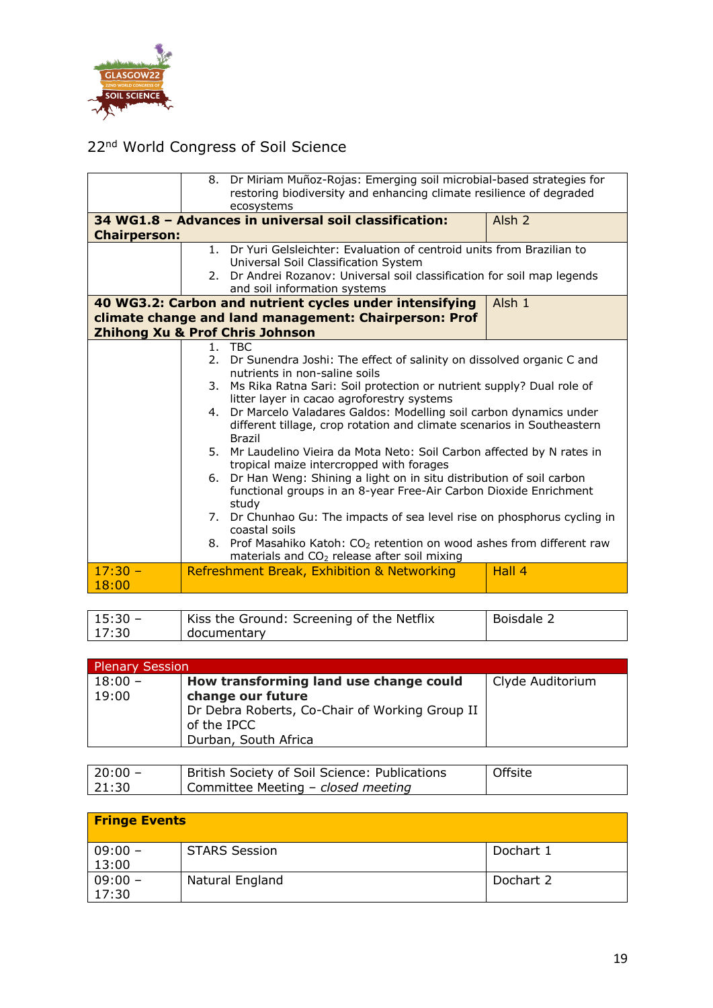

|                     |    | 8. Dr Miriam Muñoz-Rojas: Emerging soil microbial-based strategies for<br>restoring biodiversity and enhancing climate resilience of degraded<br>ecosystems |                   |  |
|---------------------|----|-------------------------------------------------------------------------------------------------------------------------------------------------------------|-------------------|--|
|                     |    | 34 WG1.8 - Advances in universal soil classification:                                                                                                       | Alsh <sub>2</sub> |  |
| <b>Chairperson:</b> |    |                                                                                                                                                             |                   |  |
|                     |    | 1. Dr Yuri Gelsleichter: Evaluation of centroid units from Brazilian to<br>Universal Soil Classification System                                             |                   |  |
|                     | 2. | Dr Andrei Rozanov: Universal soil classification for soil map legends                                                                                       |                   |  |
|                     |    | and soil information systems                                                                                                                                |                   |  |
|                     |    | 40 WG3.2: Carbon and nutrient cycles under intensifying                                                                                                     | Alsh 1            |  |
|                     |    | climate change and land management: Chairperson: Prof                                                                                                       |                   |  |
|                     |    | <b>Zhihong Xu &amp; Prof Chris Johnson</b>                                                                                                                  |                   |  |
|                     |    | 1. TBC                                                                                                                                                      |                   |  |
|                     |    | 2. Dr Sunendra Joshi: The effect of salinity on dissolved organic C and                                                                                     |                   |  |
|                     |    | nutrients in non-saline soils                                                                                                                               |                   |  |
|                     | 3. | Ms Rika Ratna Sari: Soil protection or nutrient supply? Dual role of<br>litter layer in cacao agroforestry systems                                          |                   |  |
|                     |    | 4. Dr Marcelo Valadares Galdos: Modelling soil carbon dynamics under                                                                                        |                   |  |
|                     |    | different tillage, crop rotation and climate scenarios in Southeastern                                                                                      |                   |  |
|                     |    | <b>Brazil</b>                                                                                                                                               |                   |  |
|                     |    | 5. Mr Laudelino Vieira da Mota Neto: Soil Carbon affected by N rates in                                                                                     |                   |  |
|                     |    | tropical maize intercropped with forages                                                                                                                    |                   |  |
|                     |    | 6. Dr Han Weng: Shining a light on in situ distribution of soil carbon                                                                                      |                   |  |
|                     |    | functional groups in an 8-year Free-Air Carbon Dioxide Enrichment                                                                                           |                   |  |
|                     |    | study<br>7. Dr Chunhao Gu: The impacts of sea level rise on phosphorus cycling in                                                                           |                   |  |
|                     |    | coastal soils                                                                                                                                               |                   |  |
|                     |    | 8. Prof Masahiko Katoh: CO <sub>2</sub> retention on wood ashes from different raw                                                                          |                   |  |
|                     |    | materials and $CO2$ release after soil mixing                                                                                                               |                   |  |
| $17:30 -$           |    | Refreshment Break, Exhibition & Networking                                                                                                                  | Hall 4            |  |
| 18:00               |    |                                                                                                                                                             |                   |  |

| $15:30 -$ | Kiss the Ground: Screening of the Netflix | Boisdale 2 |
|-----------|-------------------------------------------|------------|
| 17:30     | documentary                               |            |

| <b>Plenary Session</b> |                                                |                  |  |  |
|------------------------|------------------------------------------------|------------------|--|--|
| $18:00 -$              | How transforming land use change could         | Clyde Auditorium |  |  |
| 19:00                  | change our future                              |                  |  |  |
|                        | Dr Debra Roberts, Co-Chair of Working Group II |                  |  |  |
|                        | of the IPCC                                    |                  |  |  |
|                        | Durban, South Africa                           |                  |  |  |

| $20:00 -$ | British Society of Soil Science: Publications | Offsite |
|-----------|-----------------------------------------------|---------|
| 21:30     | Committee Meeting - closed meeting            |         |

| <b>Fringe Events</b> |                      |           |  |  |
|----------------------|----------------------|-----------|--|--|
| $09:00 -$<br>13:00   | <b>STARS Session</b> | Dochart 1 |  |  |
| $09:00 -$<br>17:30   | Natural England      | Dochart 2 |  |  |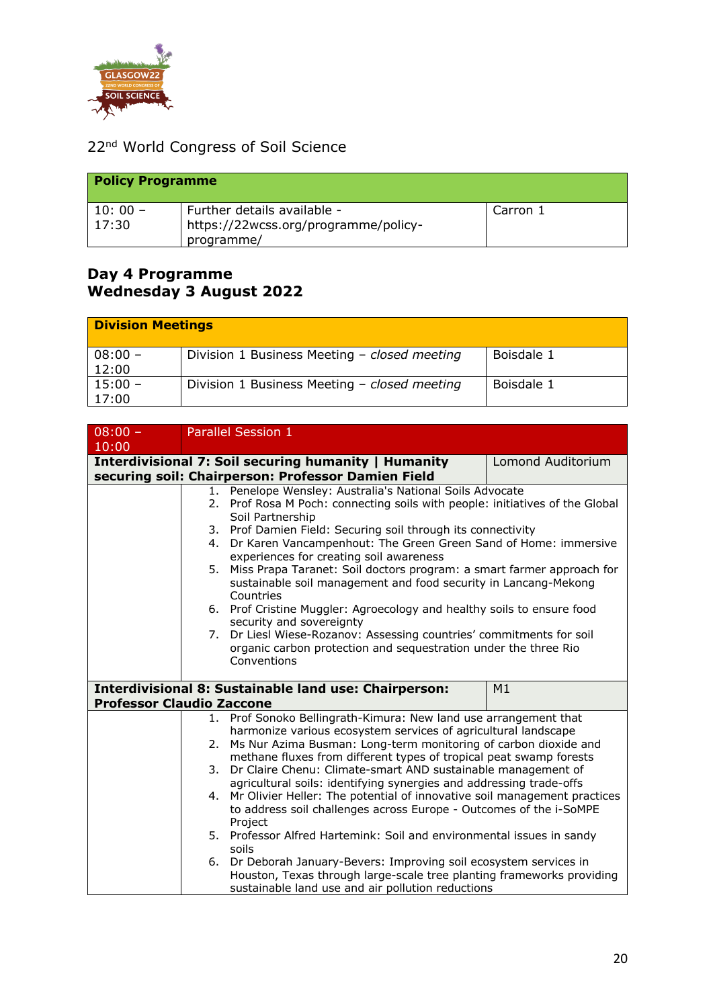

| <b>Policy Programme</b> |                                      |          |  |
|-------------------------|--------------------------------------|----------|--|
| $10:00 -$               | Further details available -          | Carron 1 |  |
| 17:30                   | https://22wcss.org/programme/policy- |          |  |
|                         | programme/                           |          |  |

#### **Day 4 Programme Wednesday 3 August 2022**

| <b>Division Meetings</b> |                                              |            |  |  |
|--------------------------|----------------------------------------------|------------|--|--|
| $08:00 -$<br>12:00       | Division 1 Business Meeting - closed meeting | Boisdale 1 |  |  |
| $15:00 -$<br>17:00       | Division 1 Business Meeting - closed meeting | Boisdale 1 |  |  |

| $08:00 -$                        |                                                                                                                                                      | <b>Parallel Session 1</b>                                                    |                   |  |
|----------------------------------|------------------------------------------------------------------------------------------------------------------------------------------------------|------------------------------------------------------------------------------|-------------------|--|
| 10:00                            |                                                                                                                                                      |                                                                              |                   |  |
|                                  |                                                                                                                                                      | Interdivisional 7: Soil securing humanity   Humanity                         | Lomond Auditorium |  |
|                                  |                                                                                                                                                      | securing soil: Chairperson: Professor Damien Field                           |                   |  |
|                                  |                                                                                                                                                      | 1. Penelope Wensley: Australia's National Soils Advocate                     |                   |  |
|                                  |                                                                                                                                                      | 2. Prof Rosa M Poch: connecting soils with people: initiatives of the Global |                   |  |
|                                  |                                                                                                                                                      | Soil Partnership                                                             |                   |  |
|                                  |                                                                                                                                                      | 3. Prof Damien Field: Securing soil through its connectivity                 |                   |  |
|                                  |                                                                                                                                                      | 4. Dr Karen Vancampenhout: The Green Green Sand of Home: immersive           |                   |  |
|                                  |                                                                                                                                                      | experiences for creating soil awareness                                      |                   |  |
|                                  |                                                                                                                                                      | Miss Prapa Taranet: Soil doctors program: a smart farmer approach for<br>5.  |                   |  |
|                                  |                                                                                                                                                      | sustainable soil management and food security in Lancang-Mekong<br>Countries |                   |  |
|                                  |                                                                                                                                                      | 6. Prof Cristine Muggler: Agroecology and healthy soils to ensure food       |                   |  |
|                                  |                                                                                                                                                      | security and sovereignty                                                     |                   |  |
|                                  |                                                                                                                                                      | Dr Liesl Wiese-Rozanov: Assessing countries' commitments for soil<br>7.      |                   |  |
|                                  |                                                                                                                                                      | organic carbon protection and sequestration under the three Rio              |                   |  |
|                                  |                                                                                                                                                      | Conventions                                                                  |                   |  |
|                                  |                                                                                                                                                      |                                                                              |                   |  |
|                                  |                                                                                                                                                      | <b>Interdivisional 8: Sustainable land use: Chairperson:</b>                 | M1                |  |
| <b>Professor Claudio Zaccone</b> |                                                                                                                                                      |                                                                              |                   |  |
|                                  |                                                                                                                                                      | 1. Prof Sonoko Bellingrath-Kimura: New land use arrangement that             |                   |  |
|                                  |                                                                                                                                                      | harmonize various ecosystem services of agricultural landscape               |                   |  |
|                                  | 2.                                                                                                                                                   | Ms Nur Azima Busman: Long-term monitoring of carbon dioxide and              |                   |  |
|                                  |                                                                                                                                                      | methane fluxes from different types of tropical peat swamp forests           |                   |  |
|                                  | 3.                                                                                                                                                   | Dr Claire Chenu: Climate-smart AND sustainable management of                 |                   |  |
|                                  |                                                                                                                                                      | agricultural soils: identifying synergies and addressing trade-offs          |                   |  |
|                                  | Mr Olivier Heller: The potential of innovative soil management practices<br>4.<br>to address soil challenges across Europe - Outcomes of the i-SoMPE |                                                                              |                   |  |
|                                  |                                                                                                                                                      | Project                                                                      |                   |  |
|                                  | 5.                                                                                                                                                   | Professor Alfred Hartemink: Soil and environmental issues in sandy           |                   |  |
|                                  |                                                                                                                                                      | soils                                                                        |                   |  |
|                                  |                                                                                                                                                      | 6. Dr Deborah January-Bevers: Improving soil ecosystem services in           |                   |  |
|                                  |                                                                                                                                                      | Houston, Texas through large-scale tree planting frameworks providing        |                   |  |
|                                  |                                                                                                                                                      | sustainable land use and air pollution reductions                            |                   |  |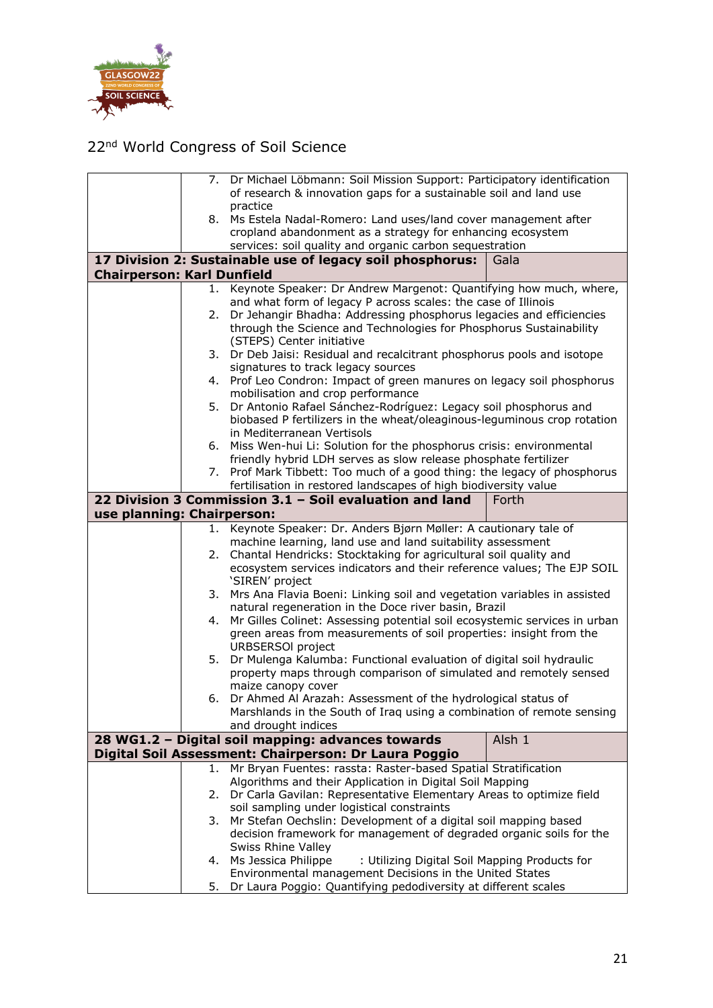

|                                   |                                                                   | 7. Dr Michael Löbmann: Soil Mission Support: Participatory identification                                                                     |        |  |
|-----------------------------------|-------------------------------------------------------------------|-----------------------------------------------------------------------------------------------------------------------------------------------|--------|--|
|                                   | of research & innovation gaps for a sustainable soil and land use |                                                                                                                                               |        |  |
|                                   |                                                                   | practice<br>8. Ms Estela Nadal-Romero: Land uses/land cover management after                                                                  |        |  |
|                                   |                                                                   | cropland abandonment as a strategy for enhancing ecosystem                                                                                    |        |  |
|                                   |                                                                   | services: soil quality and organic carbon sequestration                                                                                       |        |  |
|                                   |                                                                   | 17 Division 2: Sustainable use of legacy soil phosphorus:                                                                                     | Gala   |  |
| <b>Chairperson: Karl Dunfield</b> |                                                                   |                                                                                                                                               |        |  |
|                                   |                                                                   | 1. Keynote Speaker: Dr Andrew Margenot: Quantifying how much, where,                                                                          |        |  |
|                                   |                                                                   | and what form of legacy P across scales: the case of Illinois                                                                                 |        |  |
|                                   |                                                                   | 2. Dr Jehangir Bhadha: Addressing phosphorus legacies and efficiencies                                                                        |        |  |
|                                   |                                                                   | through the Science and Technologies for Phosphorus Sustainability                                                                            |        |  |
|                                   |                                                                   | (STEPS) Center initiative<br>3. Dr Deb Jaisi: Residual and recalcitrant phosphorus pools and isotope                                          |        |  |
|                                   |                                                                   | signatures to track legacy sources                                                                                                            |        |  |
|                                   |                                                                   | 4. Prof Leo Condron: Impact of green manures on legacy soil phosphorus                                                                        |        |  |
|                                   |                                                                   | mobilisation and crop performance                                                                                                             |        |  |
|                                   | 5.                                                                | Dr Antonio Rafael Sánchez-Rodríguez: Legacy soil phosphorus and                                                                               |        |  |
|                                   |                                                                   | biobased P fertilizers in the wheat/oleaginous-leguminous crop rotation                                                                       |        |  |
|                                   |                                                                   | in Mediterranean Vertisols                                                                                                                    |        |  |
|                                   |                                                                   | 6. Miss Wen-hui Li: Solution for the phosphorus crisis: environmental<br>friendly hybrid LDH serves as slow release phosphate fertilizer      |        |  |
|                                   |                                                                   | 7. Prof Mark Tibbett: Too much of a good thing: the legacy of phosphorus                                                                      |        |  |
|                                   |                                                                   | fertilisation in restored landscapes of high biodiversity value                                                                               |        |  |
|                                   |                                                                   | 22 Division 3 Commission 3.1 - Soil evaluation and land                                                                                       | Forth  |  |
| use planning: Chairperson:        |                                                                   |                                                                                                                                               |        |  |
|                                   |                                                                   | 1. Keynote Speaker: Dr. Anders Bjørn Møller: A cautionary tale of                                                                             |        |  |
|                                   |                                                                   | machine learning, land use and land suitability assessment                                                                                    |        |  |
|                                   |                                                                   | 2. Chantal Hendricks: Stocktaking for agricultural soil quality and<br>ecosystem services indicators and their reference values; The EJP SOIL |        |  |
|                                   |                                                                   | 'SIREN' project                                                                                                                               |        |  |
|                                   |                                                                   | 3. Mrs Ana Flavia Boeni: Linking soil and vegetation variables in assisted                                                                    |        |  |
|                                   |                                                                   | natural regeneration in the Doce river basin, Brazil                                                                                          |        |  |
|                                   | 4.                                                                | Mr Gilles Colinet: Assessing potential soil ecosystemic services in urban                                                                     |        |  |
|                                   |                                                                   | green areas from measurements of soil properties: insight from the                                                                            |        |  |
|                                   |                                                                   | <b>URBSERSOI</b> project<br>5. Dr Mulenga Kalumba: Functional evaluation of digital soil hydraulic                                            |        |  |
|                                   |                                                                   | property maps through comparison of simulated and remotely sensed                                                                             |        |  |
|                                   |                                                                   | maize canopy cover                                                                                                                            |        |  |
|                                   |                                                                   | 6. Dr Ahmed Al Arazah: Assessment of the hydrological status of                                                                               |        |  |
|                                   |                                                                   | Marshlands in the South of Iraq using a combination of remote sensing                                                                         |        |  |
|                                   |                                                                   | and drought indices                                                                                                                           |        |  |
|                                   |                                                                   | 28 WG1.2 - Digital soil mapping: advances towards                                                                                             | Alsh 1 |  |
|                                   | 1.                                                                | Digital Soil Assessment: Chairperson: Dr Laura Poggio<br>Mr Bryan Fuentes: rassta: Raster-based Spatial Stratification                        |        |  |
|                                   |                                                                   | Algorithms and their Application in Digital Soil Mapping                                                                                      |        |  |
|                                   | 2.                                                                | Dr Carla Gavilan: Representative Elementary Areas to optimize field                                                                           |        |  |
|                                   |                                                                   | soil sampling under logistical constraints                                                                                                    |        |  |
|                                   | 3.                                                                | Mr Stefan Oechslin: Development of a digital soil mapping based                                                                               |        |  |
|                                   |                                                                   | decision framework for management of degraded organic soils for the                                                                           |        |  |
|                                   |                                                                   | Swiss Rhine Valley<br>4. Ms Jessica Philippe                                                                                                  |        |  |
|                                   |                                                                   | : Utilizing Digital Soil Mapping Products for<br>Environmental management Decisions in the United States                                      |        |  |
|                                   | 5.                                                                | Dr Laura Poggio: Quantifying pedodiversity at different scales                                                                                |        |  |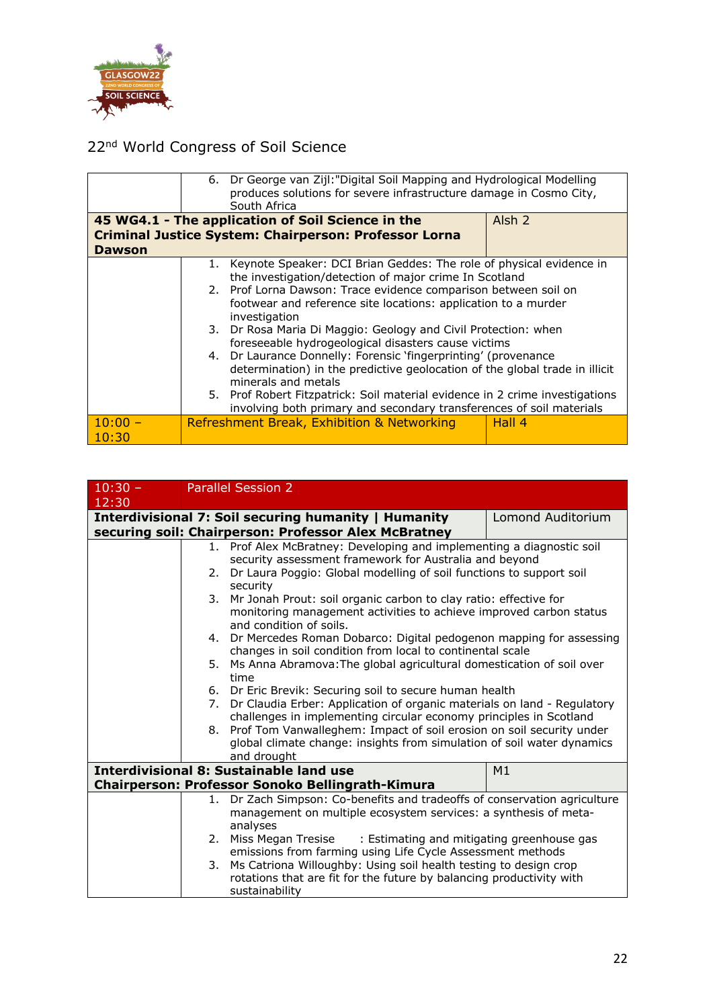

|                    | 6. Dr George van Zijl: "Digital Soil Mapping and Hydrological Modelling<br>produces solutions for severe infrastructure damage in Cosmo City,<br>South Africa        |                                                                                                                                   |  |  |
|--------------------|----------------------------------------------------------------------------------------------------------------------------------------------------------------------|-----------------------------------------------------------------------------------------------------------------------------------|--|--|
|                    | 45 WG4.1 - The application of Soil Science in the                                                                                                                    | Alsh <sub>2</sub>                                                                                                                 |  |  |
|                    | <b>Criminal Justice System: Chairperson: Professor Lorna</b>                                                                                                         |                                                                                                                                   |  |  |
| <b>Dawson</b>      |                                                                                                                                                                      |                                                                                                                                   |  |  |
|                    | 1. Keynote Speaker: DCI Brian Geddes: The role of physical evidence in<br>the investigation/detection of major crime In Scotland                                     |                                                                                                                                   |  |  |
|                    | investigation                                                                                                                                                        | 2. Prof Lorna Dawson: Trace evidence comparison between soil on<br>footwear and reference site locations: application to a murder |  |  |
|                    | 3. Dr Rosa Maria Di Maggio: Geology and Civil Protection: when<br>foreseeable hydrogeological disasters cause victims                                                |                                                                                                                                   |  |  |
|                    | 4. Dr Laurance Donnelly: Forensic 'fingerprinting' (provenance<br>determination) in the predictive geolocation of the global trade in illicit<br>minerals and metals |                                                                                                                                   |  |  |
|                    | 5. Prof Robert Fitzpatrick: Soil material evidence in 2 crime investigations<br>involving both primary and secondary transferences of soil materials                 |                                                                                                                                   |  |  |
| $10:00 -$<br>10:30 | Refreshment Break, Exhibition & Networking                                                                                                                           | Hall 4                                                                                                                            |  |  |

| $10:30 -$ |    | <b>Parallel Session 2</b>                                                                     |                                                                            |  |  |
|-----------|----|-----------------------------------------------------------------------------------------------|----------------------------------------------------------------------------|--|--|
| 12:30     |    |                                                                                               |                                                                            |  |  |
|           |    | Interdivisional 7: Soil securing humanity   Humanity                                          | Lomond Auditorium                                                          |  |  |
|           |    | securing soil: Chairperson: Professor Alex McBratney                                          |                                                                            |  |  |
|           |    | 1. Prof Alex McBratney: Developing and implementing a diagnostic soil                         |                                                                            |  |  |
|           |    | security assessment framework for Australia and beyond                                        |                                                                            |  |  |
|           | 2. | Dr Laura Poggio: Global modelling of soil functions to support soil                           |                                                                            |  |  |
|           | 3. | security<br>Mr Jonah Prout: soil organic carbon to clay ratio: effective for                  |                                                                            |  |  |
|           |    |                                                                                               |                                                                            |  |  |
|           |    | monitoring management activities to achieve improved carbon status<br>and condition of soils. |                                                                            |  |  |
|           |    | 4. Dr Mercedes Roman Dobarco: Digital pedogenon mapping for assessing                         |                                                                            |  |  |
|           |    | changes in soil condition from local to continental scale                                     |                                                                            |  |  |
|           |    | 5. Ms Anna Abramova: The global agricultural domestication of soil over                       |                                                                            |  |  |
|           |    | time                                                                                          |                                                                            |  |  |
|           |    |                                                                                               | 6. Dr Eric Brevik: Securing soil to secure human health                    |  |  |
|           |    |                                                                                               | 7. Dr Claudia Erber: Application of organic materials on land - Regulatory |  |  |
|           |    | challenges in implementing circular economy principles in Scotland                            |                                                                            |  |  |
|           | 8. | Prof Tom Vanwalleghem: Impact of soil erosion on soil security under                          |                                                                            |  |  |
|           |    | global climate change: insights from simulation of soil water dynamics<br>and drought         |                                                                            |  |  |
|           |    | <b>Interdivisional 8: Sustainable land use</b>                                                | M <sub>1</sub>                                                             |  |  |
|           |    | Chairperson: Professor Sonoko Bellingrath-Kimura                                              |                                                                            |  |  |
|           | 1. | Dr Zach Simpson: Co-benefits and tradeoffs of conservation agriculture                        |                                                                            |  |  |
|           |    | management on multiple ecosystem services: a synthesis of meta-                               |                                                                            |  |  |
|           |    | analyses                                                                                      |                                                                            |  |  |
|           | 2. | Miss Megan Tresise<br>: Estimating and mitigating greenhouse gas                              |                                                                            |  |  |
|           |    | emissions from farming using Life Cycle Assessment methods                                    |                                                                            |  |  |
|           | 3. | Ms Catriona Willoughby: Using soil health testing to design crop                              |                                                                            |  |  |
|           |    | rotations that are fit for the future by balancing productivity with                          |                                                                            |  |  |
|           |    | sustainability                                                                                |                                                                            |  |  |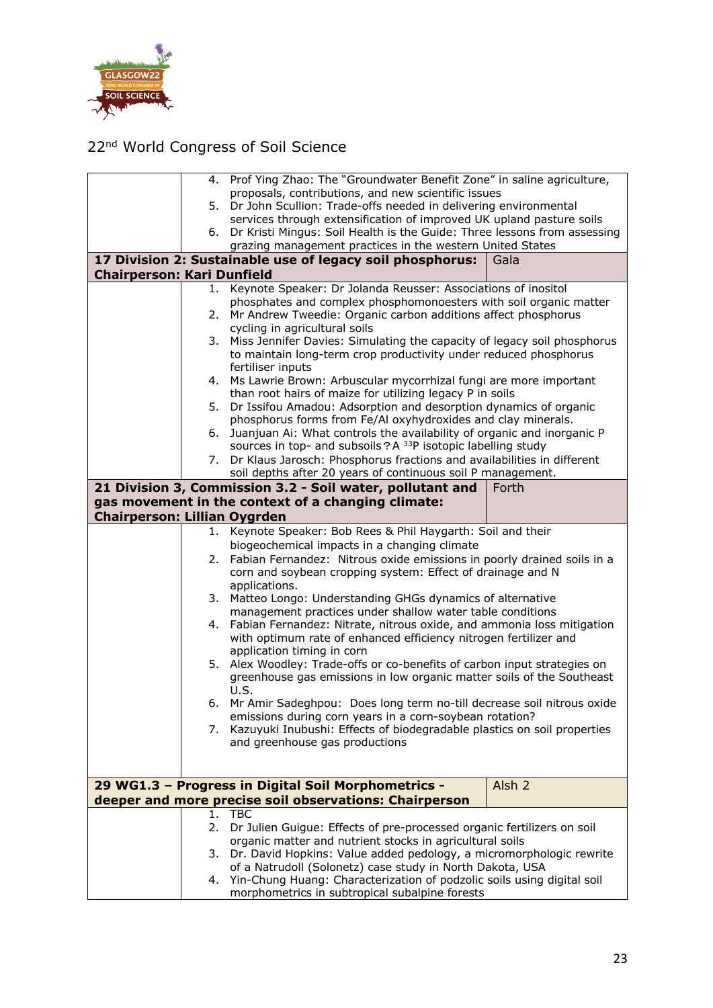

|                                     |    | 4. Prof Ying Zhao: The "Groundwater Benefit Zone" in saline agriculture,                                                     |                   |  |
|-------------------------------------|----|------------------------------------------------------------------------------------------------------------------------------|-------------------|--|
|                                     |    | proposals, contributions, and new scientific issues                                                                          |                   |  |
|                                     | 5. | Dr John Scullion: Trade-offs needed in delivering environmental                                                              |                   |  |
|                                     |    | services through extensification of improved UK upland pasture soils                                                         |                   |  |
|                                     | 6. | Dr Kristi Mingus: Soil Health is the Guide: Three lessons from assessing                                                     |                   |  |
|                                     |    | grazing management practices in the western United States                                                                    |                   |  |
|                                     |    | 17 Division 2: Sustainable use of legacy soil phosphorus:                                                                    | Gala              |  |
| <b>Chairperson: Kari Dunfield</b>   |    |                                                                                                                              |                   |  |
|                                     |    | 1. Keynote Speaker: Dr Jolanda Reusser: Associations of inositol                                                             |                   |  |
|                                     |    | phosphates and complex phosphomonoesters with soil organic matter                                                            |                   |  |
|                                     | 2. | Mr Andrew Tweedie: Organic carbon additions affect phosphorus                                                                |                   |  |
|                                     |    | cycling in agricultural soils                                                                                                |                   |  |
|                                     |    | 3. Miss Jennifer Davies: Simulating the capacity of legacy soil phosphorus                                                   |                   |  |
|                                     |    | to maintain long-term crop productivity under reduced phosphorus                                                             |                   |  |
|                                     |    | fertiliser inputs                                                                                                            |                   |  |
|                                     |    | 4. Ms Lawrie Brown: Arbuscular mycorrhizal fungi are more important                                                          |                   |  |
|                                     | 5. | than root hairs of maize for utilizing legacy P in soils<br>Dr Issifou Amadou: Adsorption and desorption dynamics of organic |                   |  |
|                                     |    | phosphorus forms from Fe/Al oxyhydroxides and clay minerals.                                                                 |                   |  |
|                                     | 6. | Juanjuan Ai: What controls the availability of organic and inorganic P                                                       |                   |  |
|                                     |    | sources in top- and subsoils? A <sup>33</sup> P isotopic labelling study                                                     |                   |  |
|                                     | 7. | Dr Klaus Jarosch: Phosphorus fractions and availabilities in different                                                       |                   |  |
|                                     |    | soil depths after 20 years of continuous soil P management.                                                                  |                   |  |
|                                     |    | 21 Division 3, Commission 3.2 - Soil water, pollutant and                                                                    | Forth             |  |
|                                     |    | gas movement in the context of a changing climate:                                                                           |                   |  |
| <b>Chairperson: Lillian Oygrden</b> |    |                                                                                                                              |                   |  |
|                                     | 1. | Keynote Speaker: Bob Rees & Phil Haygarth: Soil and their                                                                    |                   |  |
|                                     |    | biogeochemical impacts in a changing climate                                                                                 |                   |  |
|                                     | 2. | Fabian Fernandez: Nitrous oxide emissions in poorly drained soils in a                                                       |                   |  |
|                                     |    | corn and soybean cropping system: Effect of drainage and N                                                                   |                   |  |
|                                     |    | applications.                                                                                                                |                   |  |
|                                     |    | 3. Matteo Longo: Understanding GHGs dynamics of alternative                                                                  |                   |  |
|                                     |    | management practices under shallow water table conditions                                                                    |                   |  |
|                                     | 4. | Fabian Fernandez: Nitrate, nitrous oxide, and ammonia loss mitigation                                                        |                   |  |
|                                     |    | with optimum rate of enhanced efficiency nitrogen fertilizer and                                                             |                   |  |
|                                     |    | application timing in corn                                                                                                   |                   |  |
|                                     |    | 5. Alex Woodley: Trade-offs or co-benefits of carbon input strategies on                                                     |                   |  |
|                                     |    | greenhouse gas emissions in low organic matter soils of the Southeast                                                        |                   |  |
|                                     |    | U.S.                                                                                                                         |                   |  |
|                                     |    | 6. Mr Amir Sadeghpou: Does long term no-till decrease soil nitrous oxide                                                     |                   |  |
|                                     |    | emissions during corn years in a corn-soybean rotation?                                                                      |                   |  |
|                                     |    | 7. Kazuyuki Inubushi: Effects of biodegradable plastics on soil properties                                                   |                   |  |
|                                     |    | and greenhouse gas productions                                                                                               |                   |  |
|                                     |    |                                                                                                                              |                   |  |
|                                     |    |                                                                                                                              |                   |  |
|                                     |    | 29 WG1.3 - Progress in Digital Soil Morphometrics -                                                                          | Alsh <sub>2</sub> |  |
|                                     |    | deeper and more precise soil observations: Chairperson                                                                       |                   |  |
|                                     | 1. | <b>TBC</b>                                                                                                                   |                   |  |
|                                     | 2. | Dr Julien Guigue: Effects of pre-processed organic fertilizers on soil                                                       |                   |  |
|                                     |    | organic matter and nutrient stocks in agricultural soils                                                                     |                   |  |
|                                     | 3. | Dr. David Hopkins: Value added pedology, a micromorphologic rewrite                                                          |                   |  |
|                                     |    | of a Natrudoll (Solonetz) case study in North Dakota, USA                                                                    |                   |  |
|                                     |    | 4. Yin-Chung Huang: Characterization of podzolic soils using digital soil                                                    |                   |  |
|                                     |    | morphometrics in subtropical subalpine forests                                                                               |                   |  |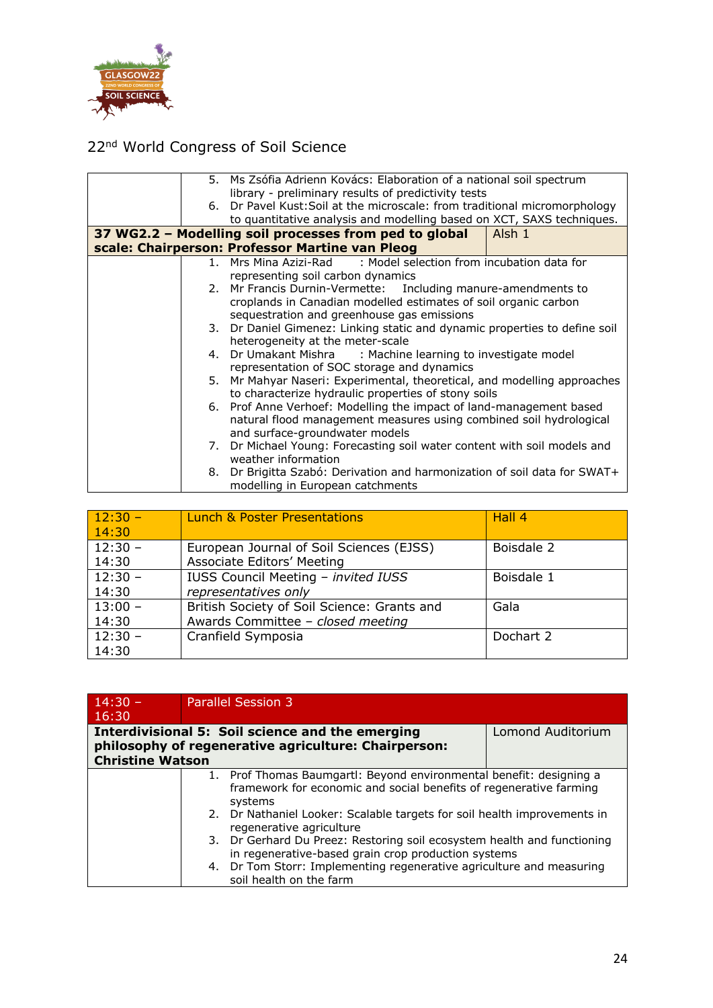

|    | 5. Ms Zsófia Adrienn Kovács: Elaboration of a national soil spectrum       |        |  |
|----|----------------------------------------------------------------------------|--------|--|
|    | library - preliminary results of predictivity tests                        |        |  |
|    | 6. Dr Pavel Kust: Soil at the microscale: from traditional micromorphology |        |  |
|    | to quantitative analysis and modelling based on XCT, SAXS techniques.      |        |  |
|    | 37 WG2.2 - Modelling soil processes from ped to global                     | Alsh 1 |  |
|    | scale: Chairperson: Professor Martine van Pleog                            |        |  |
|    | : Model selection from incubation data for<br>1. Mrs Mina Azizi-Rad        |        |  |
|    | representing soil carbon dynamics                                          |        |  |
|    | 2. Mr Francis Durnin-Vermette: Including manure-amendments to              |        |  |
|    | croplands in Canadian modelled estimates of soil organic carbon            |        |  |
|    | sequestration and greenhouse gas emissions                                 |        |  |
|    | 3. Dr Daniel Gimenez: Linking static and dynamic properties to define soil |        |  |
|    | heterogeneity at the meter-scale                                           |        |  |
|    | 4. Dr Umakant Mishra : Machine learning to investigate model               |        |  |
|    | representation of SOC storage and dynamics                                 |        |  |
| 5. | Mr Mahyar Naseri: Experimental, theoretical, and modelling approaches      |        |  |
|    | to characterize hydraulic properties of stony soils                        |        |  |
|    | 6. Prof Anne Verhoef: Modelling the impact of land-management based        |        |  |
|    | natural flood management measures using combined soil hydrological         |        |  |
|    | and surface-groundwater models                                             |        |  |
|    | 7. Dr Michael Young: Forecasting soil water content with soil models and   |        |  |
|    | weather information                                                        |        |  |
| 8. | Dr Brigitta Szabó: Derivation and harmonization of soil data for SWAT+     |        |  |
|    | modelling in European catchments                                           |        |  |

| $12:30 -$ | <b>Lunch &amp; Poster Presentations</b>     | Hall 4     |
|-----------|---------------------------------------------|------------|
| 14:30     |                                             |            |
| $12:30 -$ | European Journal of Soil Sciences (EJSS)    | Boisdale 2 |
| 14:30     | Associate Editors' Meeting                  |            |
| $12:30 -$ | IUSS Council Meeting - invited IUSS         | Boisdale 1 |
| 14:30     | representatives only                        |            |
| $13:00 -$ | British Society of Soil Science: Grants and | Gala       |
| 14:30     | Awards Committee - closed meeting           |            |
| $12:30 -$ | Cranfield Symposia                          | Dochart 2  |
| 14:30     |                                             |            |

| $14:30 -$<br>16:30      | <b>Parallel Session 3</b>                                                                                                                            |                   |
|-------------------------|------------------------------------------------------------------------------------------------------------------------------------------------------|-------------------|
| <b>Christine Watson</b> | Interdivisional 5: Soil science and the emerging<br>philosophy of regenerative agriculture: Chairperson:                                             | Lomond Auditorium |
|                         | 1. Prof Thomas Baumgartl: Beyond environmental benefit: designing a<br>framework for economic and social benefits of regenerative farming<br>systems |                   |
|                         | 2. Dr Nathaniel Looker: Scalable targets for soil health improvements in<br>regenerative agriculture                                                 |                   |
|                         | 3. Dr Gerhard Du Preez: Restoring soil ecosystem health and functioning<br>in regenerative-based grain crop production systems                       |                   |
|                         | 4. Dr Tom Storr: Implementing regenerative agriculture and measuring<br>soil health on the farm                                                      |                   |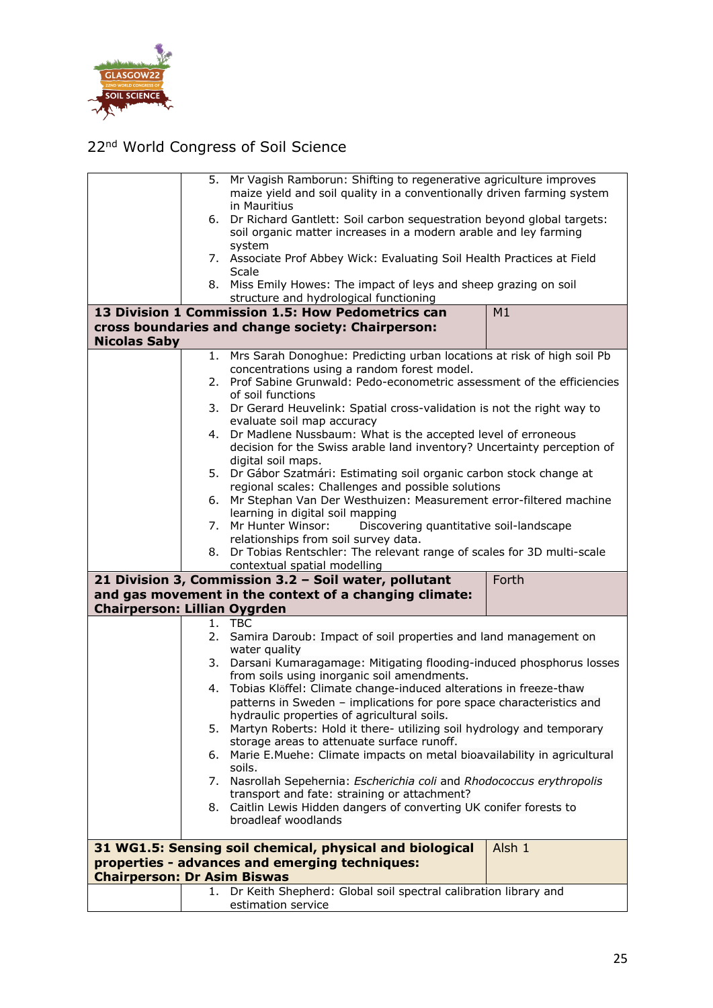

|                                     |                                                                | 5. Mr Vagish Ramborun: Shifting to regenerative agriculture improves                                                |        |  |  |
|-------------------------------------|----------------------------------------------------------------|---------------------------------------------------------------------------------------------------------------------|--------|--|--|
|                                     |                                                                | maize yield and soil quality in a conventionally driven farming system                                              |        |  |  |
|                                     |                                                                | in Mauritius                                                                                                        |        |  |  |
|                                     | 6.                                                             | Dr Richard Gantlett: Soil carbon sequestration beyond global targets:                                               |        |  |  |
|                                     |                                                                | soil organic matter increases in a modern arable and ley farming                                                    |        |  |  |
|                                     |                                                                | system                                                                                                              |        |  |  |
|                                     |                                                                | 7. Associate Prof Abbey Wick: Evaluating Soil Health Practices at Field<br>Scale                                    |        |  |  |
|                                     |                                                                | 8. Miss Emily Howes: The impact of leys and sheep grazing on soil                                                   |        |  |  |
|                                     |                                                                | structure and hydrological functioning                                                                              |        |  |  |
|                                     |                                                                | 13 Division 1 Commission 1.5: How Pedometrics can                                                                   | M1     |  |  |
|                                     |                                                                | cross boundaries and change society: Chairperson:                                                                   |        |  |  |
| <b>Nicolas Saby</b>                 |                                                                |                                                                                                                     |        |  |  |
|                                     | 1.                                                             | Mrs Sarah Donoghue: Predicting urban locations at risk of high soil Pb                                              |        |  |  |
|                                     |                                                                | concentrations using a random forest model.                                                                         |        |  |  |
|                                     | 2.                                                             | Prof Sabine Grunwald: Pedo-econometric assessment of the efficiencies                                               |        |  |  |
|                                     |                                                                | of soil functions                                                                                                   |        |  |  |
|                                     | 3.                                                             | Dr Gerard Heuvelink: Spatial cross-validation is not the right way to                                               |        |  |  |
|                                     |                                                                | evaluate soil map accuracy                                                                                          |        |  |  |
|                                     | 4.                                                             | Dr Madlene Nussbaum: What is the accepted level of erroneous                                                        |        |  |  |
|                                     |                                                                | decision for the Swiss arable land inventory? Uncertainty perception of                                             |        |  |  |
|                                     |                                                                | digital soil maps.                                                                                                  |        |  |  |
|                                     |                                                                | 5. Dr Gábor Szatmári: Estimating soil organic carbon stock change at                                                |        |  |  |
|                                     |                                                                | regional scales: Challenges and possible solutions                                                                  |        |  |  |
|                                     | 6.                                                             | Mr Stephan Van Der Westhuizen: Measurement error-filtered machine                                                   |        |  |  |
|                                     |                                                                | learning in digital soil mapping                                                                                    |        |  |  |
|                                     | 7.                                                             | Mr Hunter Winsor:<br>Discovering quantitative soil-landscape<br>relationships from soil survey data.                |        |  |  |
|                                     | 8.                                                             | Dr Tobias Rentschler: The relevant range of scales for 3D multi-scale                                               |        |  |  |
|                                     |                                                                | contextual spatial modelling                                                                                        |        |  |  |
|                                     | 21 Division 3, Commission 3.2 - Soil water, pollutant<br>Forth |                                                                                                                     |        |  |  |
|                                     |                                                                | and gas movement in the context of a changing climate:                                                              |        |  |  |
| <b>Chairperson: Lillian Oygrden</b> |                                                                |                                                                                                                     |        |  |  |
|                                     | 1.                                                             | <b>TBC</b>                                                                                                          |        |  |  |
|                                     | 2.                                                             | Samira Daroub: Impact of soil properties and land management on                                                     |        |  |  |
|                                     |                                                                | water quality                                                                                                       |        |  |  |
|                                     |                                                                | 3. Darsani Kumaragamage: Mitigating flooding-induced phosphorus losses                                              |        |  |  |
|                                     |                                                                | from soils using inorganic soil amendments.                                                                         |        |  |  |
|                                     |                                                                | 4. Tobias Klöffel: Climate change-induced alterations in freeze-thaw                                                |        |  |  |
|                                     |                                                                | patterns in Sweden - implications for pore space characteristics and                                                |        |  |  |
|                                     |                                                                | hydraulic properties of agricultural soils.                                                                         |        |  |  |
|                                     | 5.                                                             | Martyn Roberts: Hold it there- utilizing soil hydrology and temporary<br>storage areas to attenuate surface runoff. |        |  |  |
|                                     |                                                                | 6. Marie E.Muehe: Climate impacts on metal bioavailability in agricultural                                          |        |  |  |
|                                     |                                                                | soils.                                                                                                              |        |  |  |
|                                     | 7.                                                             | Nasrollah Sepehernia: Escherichia coli and Rhodococcus erythropolis                                                 |        |  |  |
|                                     |                                                                | transport and fate: straining or attachment?                                                                        |        |  |  |
|                                     |                                                                | 8. Caitlin Lewis Hidden dangers of converting UK conifer forests to                                                 |        |  |  |
|                                     |                                                                | broadleaf woodlands                                                                                                 |        |  |  |
|                                     |                                                                |                                                                                                                     |        |  |  |
|                                     |                                                                | 31 WG1.5: Sensing soil chemical, physical and biological                                                            | Alsh 1 |  |  |
|                                     |                                                                | properties - advances and emerging techniques:                                                                      |        |  |  |
| <b>Chairperson: Dr Asim Biswas</b>  |                                                                |                                                                                                                     |        |  |  |
|                                     | 1.                                                             | Dr Keith Shepherd: Global soil spectral calibration library and                                                     |        |  |  |
|                                     |                                                                | estimation service                                                                                                  |        |  |  |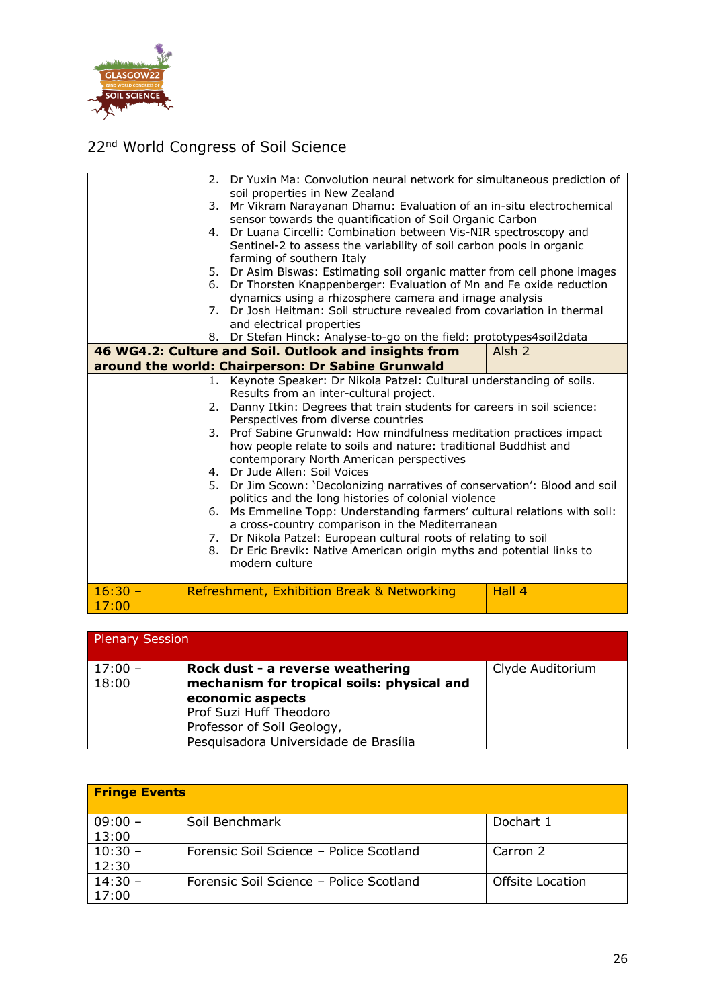

|           |          | 2. Dr Yuxin Ma: Convolution neural network for simultaneous prediction of<br>soil properties in New Zealand                     |                   |
|-----------|----------|---------------------------------------------------------------------------------------------------------------------------------|-------------------|
|           | 3.       | Mr Vikram Narayanan Dhamu: Evaluation of an in-situ electrochemical                                                             |                   |
|           |          | sensor towards the quantification of Soil Organic Carbon                                                                        |                   |
|           |          | 4. Dr Luana Circelli: Combination between Vis-NIR spectroscopy and                                                              |                   |
|           |          | Sentinel-2 to assess the variability of soil carbon pools in organic                                                            |                   |
|           |          | farming of southern Italy                                                                                                       |                   |
|           |          | 5. Dr Asim Biswas: Estimating soil organic matter from cell phone images                                                        |                   |
|           | 6.       | Dr Thorsten Knappenberger: Evaluation of Mn and Fe oxide reduction                                                              |                   |
|           |          | dynamics using a rhizosphere camera and image analysis                                                                          |                   |
|           | 7.       | Dr Josh Heitman: Soil structure revealed from covariation in thermal                                                            |                   |
|           |          | and electrical properties                                                                                                       |                   |
|           |          | 8. Dr Stefan Hinck: Analyse-to-go on the field: prototypes4soil2data                                                            |                   |
|           |          | 46 WG4.2: Culture and Soil. Outlook and insights from                                                                           | Alsh <sub>2</sub> |
|           |          | around the world: Chairperson: Dr Sabine Grunwald                                                                               |                   |
|           |          | 1. Keynote Speaker: Dr Nikola Patzel: Cultural understanding of soils.                                                          |                   |
|           |          | Results from an inter-cultural project.                                                                                         |                   |
|           | 2.       | Danny Itkin: Degrees that train students for careers in soil science:                                                           |                   |
|           |          | Perspectives from diverse countries                                                                                             |                   |
|           | 3.       | Prof Sabine Grunwald: How mindfulness meditation practices impact                                                               |                   |
|           |          | how people relate to soils and nature: traditional Buddhist and                                                                 |                   |
|           |          | contemporary North American perspectives                                                                                        |                   |
|           | 4.<br>5. | Dr Jude Allen: Soil Voices                                                                                                      |                   |
|           |          | Dr Jim Scown: 'Decolonizing narratives of conservation': Blood and soil<br>politics and the long histories of colonial violence |                   |
|           |          | 6. Ms Emmeline Topp: Understanding farmers' cultural relations with soil:                                                       |                   |
|           |          | a cross-country comparison in the Mediterranean                                                                                 |                   |
|           |          | 7. Dr Nikola Patzel: European cultural roots of relating to soil                                                                |                   |
|           | 8.       | Dr Eric Brevik: Native American origin myths and potential links to                                                             |                   |
|           |          | modern culture                                                                                                                  |                   |
|           |          |                                                                                                                                 |                   |
| $16:30 -$ |          | Refreshment, Exhibition Break & Networking                                                                                      | Hall 4            |
| 17:00     |          |                                                                                                                                 |                   |

| Plenary Session    |                                                                                                                                                                                                      |                  |
|--------------------|------------------------------------------------------------------------------------------------------------------------------------------------------------------------------------------------------|------------------|
| $17:00 -$<br>18:00 | Rock dust - a reverse weathering<br>mechanism for tropical soils: physical and<br>economic aspects<br>Prof Suzi Huff Theodoro<br>Professor of Soil Geology,<br>Pesquisadora Universidade de Brasília | Clyde Auditorium |

| <b>Fringe Events</b> |                                         |                  |  |
|----------------------|-----------------------------------------|------------------|--|
| $09:00 -$<br>13:00   | Soil Benchmark                          | Dochart 1        |  |
| $10:30 -$<br>12:30   | Forensic Soil Science - Police Scotland | Carron 2         |  |
| $14:30 -$<br>17:00   | Forensic Soil Science - Police Scotland | Offsite Location |  |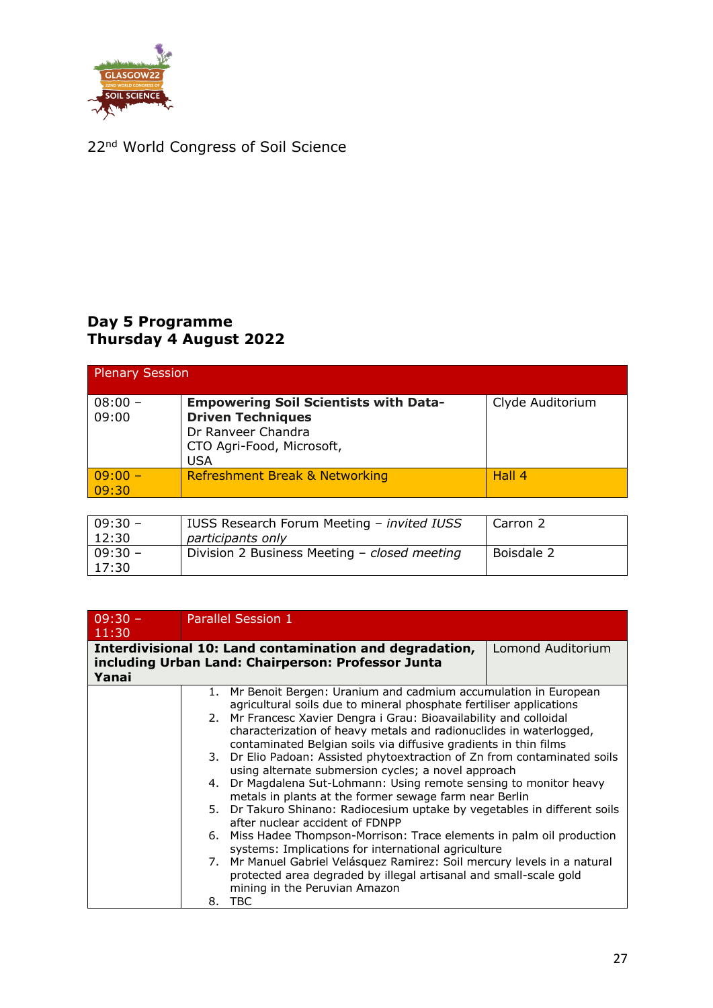

 $|17:30|$ 

### 22<sup>nd</sup> World Congress of Soil Science

#### **Day 5 Programme Thursday 4 August 2022**

| <b>Plenary Session</b> |                                                                                                                                           |                  |  |
|------------------------|-------------------------------------------------------------------------------------------------------------------------------------------|------------------|--|
| $08:00 -$<br>09:00     | <b>Empowering Soil Scientists with Data-</b><br><b>Driven Techniques</b><br>Dr Ranveer Chandra<br>CTO Agri-Food, Microsoft,<br><b>USA</b> | Clyde Auditorium |  |
| $09:00 -$<br>09:30     | Refreshment Break & Networking                                                                                                            | Hall 4           |  |
|                        |                                                                                                                                           |                  |  |
| $09:30 -$<br>12:30     | IUSS Research Forum Meeting - invited IUSS<br>participants only                                                                           | Carron 2         |  |
| $09:30 -$              | Division 2 Business Meeting - closed meeting                                                                                              | Boisdale 2       |  |

| $09:30 -$ | Parallel Session 1                                                        |                   |
|-----------|---------------------------------------------------------------------------|-------------------|
| 11:30     |                                                                           |                   |
|           |                                                                           |                   |
|           | Interdivisional 10: Land contamination and degradation,                   | Lomond Auditorium |
|           | including Urban Land: Chairperson: Professor Junta                        |                   |
| Yanai     |                                                                           |                   |
|           | 1. Mr Benoit Bergen: Uranium and cadmium accumulation in European         |                   |
|           | agricultural soils due to mineral phosphate fertiliser applications       |                   |
|           | 2. Mr Francesc Xavier Dengra i Grau: Bioavailability and colloidal        |                   |
|           | characterization of heavy metals and radionuclides in waterlogged,        |                   |
|           | contaminated Belgian soils via diffusive gradients in thin films          |                   |
|           | 3. Dr Elio Padoan: Assisted phytoextraction of Zn from contaminated soils |                   |
|           | using alternate submersion cycles; a novel approach                       |                   |
|           | 4. Dr Magdalena Sut-Lohmann: Using remote sensing to monitor heavy        |                   |
|           | metals in plants at the former sewage farm near Berlin                    |                   |
|           | 5. Dr Takuro Shinano: Radiocesium uptake by vegetables in different soils |                   |
|           | after nuclear accident of FDNPP                                           |                   |
|           | 6. Miss Hadee Thompson-Morrison: Trace elements in palm oil production    |                   |
|           | systems: Implications for international agriculture                       |                   |
|           | 7. Mr Manuel Gabriel Velásquez Ramirez: Soil mercury levels in a natural  |                   |
|           | protected area degraded by illegal artisanal and small-scale gold         |                   |
|           | mining in the Peruvian Amazon                                             |                   |
|           | 8. TBC                                                                    |                   |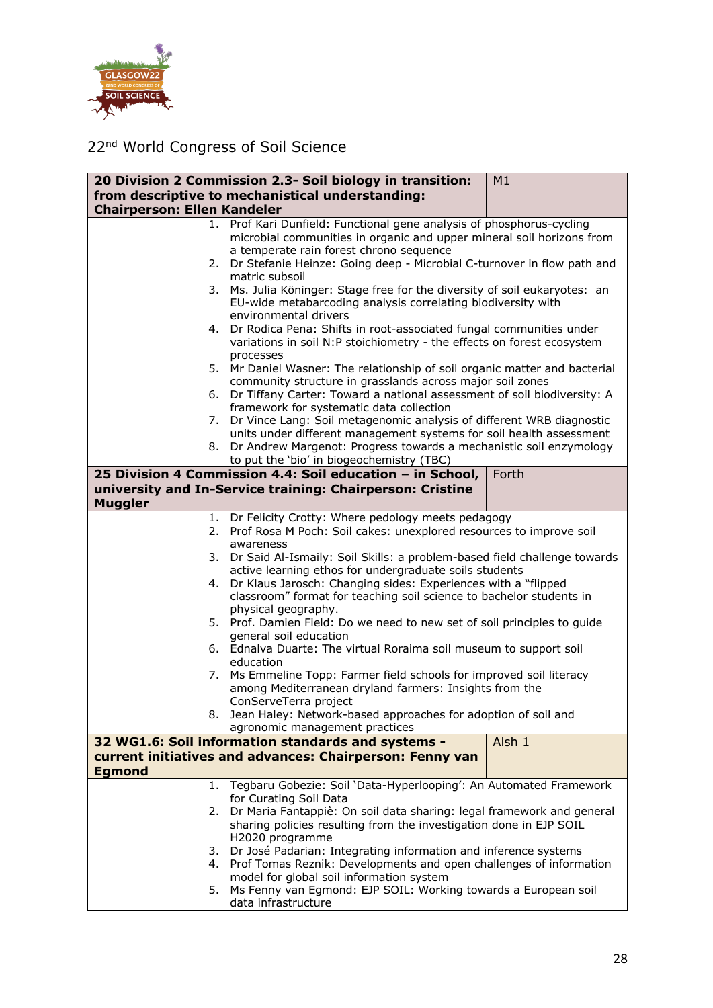

|                                    |    | 20 Division 2 Commission 2.3- Soil biology in transition:                                                                                 | M1     |
|------------------------------------|----|-------------------------------------------------------------------------------------------------------------------------------------------|--------|
|                                    |    | from descriptive to mechanistical understanding:                                                                                          |        |
| <b>Chairperson: Ellen Kandeler</b> |    |                                                                                                                                           |        |
|                                    |    | 1. Prof Kari Dunfield: Functional gene analysis of phosphorus-cycling                                                                     |        |
|                                    |    | microbial communities in organic and upper mineral soil horizons from                                                                     |        |
|                                    |    | a temperate rain forest chrono sequence<br>Dr Stefanie Heinze: Going deep - Microbial C-turnover in flow path and                         |        |
|                                    | 2. | matric subsoil                                                                                                                            |        |
|                                    | 3. | Ms. Julia Köninger: Stage free for the diversity of soil eukaryotes: an                                                                   |        |
|                                    |    | EU-wide metabarcoding analysis correlating biodiversity with                                                                              |        |
|                                    |    | environmental drivers                                                                                                                     |        |
|                                    | 4. | Dr Rodica Pena: Shifts in root-associated fungal communities under                                                                        |        |
|                                    |    | variations in soil N:P stoichiometry - the effects on forest ecosystem                                                                    |        |
|                                    |    | processes                                                                                                                                 |        |
|                                    | 5. | Mr Daniel Wasner: The relationship of soil organic matter and bacterial                                                                   |        |
|                                    |    | community structure in grasslands across major soil zones                                                                                 |        |
|                                    | 6. | Dr Tiffany Carter: Toward a national assessment of soil biodiversity: A                                                                   |        |
|                                    |    | framework for systematic data collection                                                                                                  |        |
|                                    | 7. | Dr Vince Lang: Soil metagenomic analysis of different WRB diagnostic                                                                      |        |
|                                    | 8. | units under different management systems for soil health assessment<br>Dr Andrew Margenot: Progress towards a mechanistic soil enzymology |        |
|                                    |    | to put the 'bio' in biogeochemistry (TBC)                                                                                                 |        |
|                                    |    | 25 Division 4 Commission 4.4: Soil education - in School,                                                                                 | Forth  |
|                                    |    | university and In-Service training: Chairperson: Cristine                                                                                 |        |
| <b>Muggler</b>                     |    |                                                                                                                                           |        |
|                                    | 1. | Dr Felicity Crotty: Where pedology meets pedagogy                                                                                         |        |
|                                    | 2. | Prof Rosa M Poch: Soil cakes: unexplored resources to improve soil                                                                        |        |
|                                    |    | awareness                                                                                                                                 |        |
|                                    | 3. | Dr Said Al-Ismaily: Soil Skills: a problem-based field challenge towards                                                                  |        |
|                                    |    | active learning ethos for undergraduate soils students                                                                                    |        |
|                                    | 4. | Dr Klaus Jarosch: Changing sides: Experiences with a "flipped                                                                             |        |
|                                    |    | classroom" format for teaching soil science to bachelor students in                                                                       |        |
|                                    |    | physical geography.                                                                                                                       |        |
|                                    |    | 5. Prof. Damien Field: Do we need to new set of soil principles to guide                                                                  |        |
|                                    |    | general soil education<br>6. Ednalva Duarte: The virtual Roraima soil museum to support soil                                              |        |
|                                    |    | education                                                                                                                                 |        |
|                                    | 7. | Ms Emmeline Topp: Farmer field schools for improved soil literacy                                                                         |        |
|                                    |    | among Mediterranean dryland farmers: Insights from the                                                                                    |        |
|                                    |    | ConServeTerra project                                                                                                                     |        |
|                                    |    | 8. Jean Haley: Network-based approaches for adoption of soil and                                                                          |        |
|                                    |    | agronomic management practices                                                                                                            |        |
|                                    |    | 32 WG1.6: Soil information standards and systems -                                                                                        | Alsh 1 |
|                                    |    | current initiatives and advances: Chairperson: Fenny van                                                                                  |        |
| <b>Egmond</b>                      |    |                                                                                                                                           |        |
|                                    |    | 1. Tegbaru Gobezie: Soil 'Data-Hyperlooping': An Automated Framework                                                                      |        |
|                                    |    | for Curating Soil Data                                                                                                                    |        |
|                                    | 2. | Dr Maria Fantappiè: On soil data sharing: legal framework and general                                                                     |        |
|                                    |    | sharing policies resulting from the investigation done in EJP SOIL<br>H2020 programme                                                     |        |
|                                    | 3. | Dr José Padarian: Integrating information and inference systems                                                                           |        |
|                                    | 4. | Prof Tomas Reznik: Developments and open challenges of information                                                                        |        |
|                                    |    | model for global soil information system                                                                                                  |        |
|                                    | 5. | Ms Fenny van Egmond: EJP SOIL: Working towards a European soil                                                                            |        |
|                                    |    | data infrastructure                                                                                                                       |        |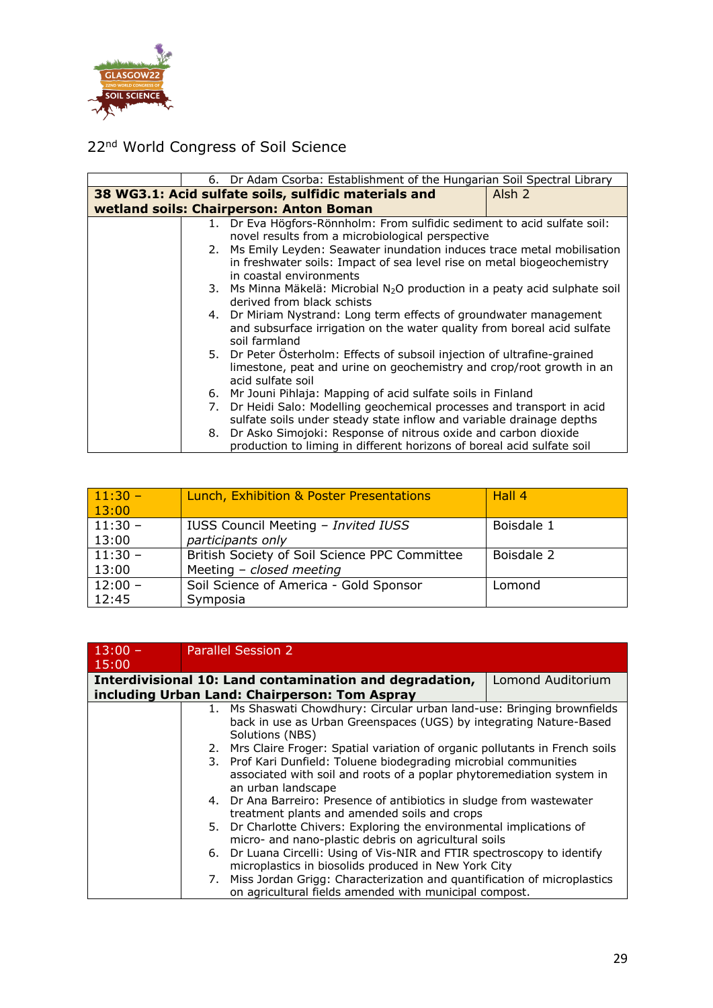

|    | 6. Dr Adam Csorba: Establishment of the Hungarian Soil Spectral Library       |                   |
|----|-------------------------------------------------------------------------------|-------------------|
|    | 38 WG3.1: Acid sulfate soils, sulfidic materials and                          | Alsh <sub>2</sub> |
|    | wetland soils: Chairperson: Anton Boman                                       |                   |
|    | 1. Dr Eva Högfors-Rönnholm: From sulfidic sediment to acid sulfate soil:      |                   |
|    | novel results from a microbiological perspective                              |                   |
|    | 2. Ms Emily Leyden: Seawater inundation induces trace metal mobilisation      |                   |
|    | in freshwater soils: Impact of sea level rise on metal biogeochemistry        |                   |
|    | in coastal environments                                                       |                   |
|    | 3. Ms Minna Mäkelä: Microbial $N_2O$ production in a peaty acid sulphate soil |                   |
|    | derived from black schists                                                    |                   |
|    | 4. Dr Miriam Nystrand: Long term effects of groundwater management            |                   |
|    | and subsurface irrigation on the water quality from boreal acid sulfate       |                   |
|    | soil farmland                                                                 |                   |
|    | 5. Dr Peter Österholm: Effects of subsoil injection of ultrafine-grained      |                   |
|    | limestone, peat and urine on geochemistry and crop/root growth in an          |                   |
|    | acid sulfate soil                                                             |                   |
|    | 6. Mr Jouni Pihlaja: Mapping of acid sulfate soils in Finland                 |                   |
| 7. | Dr Heidi Salo: Modelling geochemical processes and transport in acid          |                   |
|    | sulfate soils under steady state inflow and variable drainage depths          |                   |
| 8. | Dr Asko Simojoki: Response of nitrous oxide and carbon dioxide                |                   |
|    | production to liming in different horizons of boreal acid sulfate soil        |                   |

| $11:30 -$<br>13:00 | Lunch, Exhibition & Poster Presentations      | Hall 4     |
|--------------------|-----------------------------------------------|------------|
| $11:30 -$          | IUSS Council Meeting - Invited IUSS           | Boisdale 1 |
| 13:00              | participants only                             |            |
| $11:30 -$          | British Society of Soil Science PPC Committee | Boisdale 2 |
| 13:00              | Meeting $-$ closed meeting                    |            |
| $12:00 -$          | Soil Science of America - Gold Sponsor        | Lomond     |
| 12:45              | Symposia                                      |            |

| $13:00 -$<br>15:00 | <b>Parallel Session 2</b>                                                     |                   |
|--------------------|-------------------------------------------------------------------------------|-------------------|
|                    | Interdivisional 10: Land contamination and degradation,                       | Lomond Auditorium |
|                    | including Urban Land: Chairperson: Tom Aspray                                 |                   |
|                    | 1. Ms Shaswati Chowdhury: Circular urban land-use: Bringing brownfields       |                   |
|                    | back in use as Urban Greenspaces (UGS) by integrating Nature-Based            |                   |
|                    | Solutions (NBS)                                                               |                   |
|                    | 2. Mrs Claire Froger: Spatial variation of organic pollutants in French soils |                   |
|                    | 3. Prof Kari Dunfield: Toluene biodegrading microbial communities             |                   |
|                    | associated with soil and roots of a poplar phytoremediation system in         |                   |
|                    | an urban landscape                                                            |                   |
|                    | 4. Dr Ana Barreiro: Presence of antibiotics in sludge from wastewater         |                   |
|                    | treatment plants and amended soils and crops                                  |                   |
|                    | 5. Dr Charlotte Chivers: Exploring the environmental implications of          |                   |
|                    | micro- and nano-plastic debris on agricultural soils                          |                   |
|                    | 6. Dr Luana Circelli: Using of Vis-NIR and FTIR spectroscopy to identify      |                   |
|                    | microplastics in biosolids produced in New York City                          |                   |
|                    | 7. Miss Jordan Grigg: Characterization and quantification of microplastics    |                   |
|                    | on agricultural fields amended with municipal compost.                        |                   |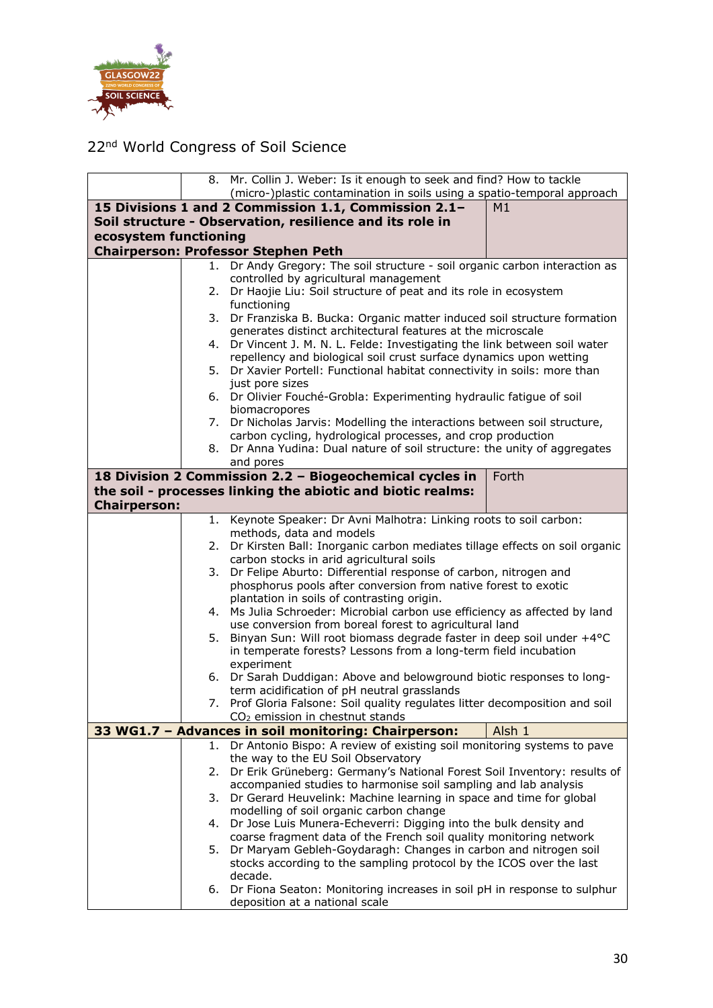

|                       |      | 8. Mr. Collin J. Weber: Is it enough to seek and find? How to tackle                                                                     |
|-----------------------|------|------------------------------------------------------------------------------------------------------------------------------------------|
|                       |      | (micro-)plastic contamination in soils using a spatio-temporal approach                                                                  |
|                       |      | 15 Divisions 1 and 2 Commission 1.1, Commission 2.1-<br>M1                                                                               |
|                       |      | Soil structure - Observation, resilience and its role in                                                                                 |
| ecosystem functioning |      |                                                                                                                                          |
|                       |      | <b>Chairperson: Professor Stephen Peth</b>                                                                                               |
|                       | 1. . | Dr Andy Gregory: The soil structure - soil organic carbon interaction as                                                                 |
|                       |      | controlled by agricultural management                                                                                                    |
|                       | 2.   | Dr Haojie Liu: Soil structure of peat and its role in ecosystem                                                                          |
|                       |      | functioning                                                                                                                              |
|                       | 3.   | Dr Franziska B. Bucka: Organic matter induced soil structure formation                                                                   |
|                       |      | generates distinct architectural features at the microscale                                                                              |
|                       |      | 4. Dr Vincent J. M. N. L. Felde: Investigating the link between soil water                                                               |
|                       |      | repellency and biological soil crust surface dynamics upon wetting                                                                       |
|                       | 5.   | Dr Xavier Portell: Functional habitat connectivity in soils: more than                                                                   |
|                       |      | just pore sizes<br>6. Dr Olivier Fouché-Grobla: Experimenting hydraulic fatigue of soil                                                  |
|                       |      | biomacropores                                                                                                                            |
|                       | 7.   | Dr Nicholas Jarvis: Modelling the interactions between soil structure,                                                                   |
|                       |      | carbon cycling, hydrological processes, and crop production                                                                              |
|                       | 8.   | Dr Anna Yudina: Dual nature of soil structure: the unity of aggregates                                                                   |
|                       |      | and pores                                                                                                                                |
|                       |      | 18 Division 2 Commission 2.2 - Biogeochemical cycles in<br>Forth                                                                         |
|                       |      | the soil - processes linking the abiotic and biotic realms:                                                                              |
| <b>Chairperson:</b>   |      |                                                                                                                                          |
|                       | 1.   | Keynote Speaker: Dr Avni Malhotra: Linking roots to soil carbon:                                                                         |
|                       |      | methods, data and models                                                                                                                 |
|                       | 2.   | Dr Kirsten Ball: Inorganic carbon mediates tillage effects on soil organic                                                               |
|                       |      | carbon stocks in arid agricultural soils                                                                                                 |
|                       | 3.   | Dr Felipe Aburto: Differential response of carbon, nitrogen and                                                                          |
|                       |      | phosphorus pools after conversion from native forest to exotic<br>plantation in soils of contrasting origin.                             |
|                       | 4.   | Ms Julia Schroeder: Microbial carbon use efficiency as affected by land                                                                  |
|                       |      | use conversion from boreal forest to agricultural land                                                                                   |
|                       | 5.   | Binyan Sun: Will root biomass degrade faster in deep soil under +4°C                                                                     |
|                       |      | in temperate forests? Lessons from a long-term field incubation                                                                          |
|                       |      | experiment                                                                                                                               |
|                       |      | 6. Dr Sarah Duddigan: Above and belowground biotic responses to long-                                                                    |
|                       |      | term acidification of pH neutral grasslands                                                                                              |
|                       | 7.   | Prof Gloria Falsone: Soil quality regulates litter decomposition and soil                                                                |
|                       |      | CO <sub>2</sub> emission in chestnut stands                                                                                              |
|                       |      | 33 WG1.7 - Advances in soil monitoring: Chairperson:<br>Alsh 1<br>Dr Antonio Bispo: A review of existing soil monitoring systems to pave |
|                       | 1.   | the way to the EU Soil Observatory                                                                                                       |
|                       | 2.   | Dr Erik Grüneberg: Germany's National Forest Soil Inventory: results of                                                                  |
|                       |      | accompanied studies to harmonise soil sampling and lab analysis                                                                          |
|                       | 3.   | Dr Gerard Heuvelink: Machine learning in space and time for global                                                                       |
|                       |      | modelling of soil organic carbon change                                                                                                  |
|                       | 4.   | Dr Jose Luis Munera-Echeverri: Digging into the bulk density and                                                                         |
|                       |      | coarse fragment data of the French soil quality monitoring network                                                                       |
|                       | 5.   | Dr Maryam Gebleh-Goydaragh: Changes in carbon and nitrogen soil                                                                          |
|                       |      | stocks according to the sampling protocol by the ICOS over the last                                                                      |
|                       |      | decade.                                                                                                                                  |
|                       | 6.   | Dr Fiona Seaton: Monitoring increases in soil pH in response to sulphur                                                                  |
|                       |      | deposition at a national scale                                                                                                           |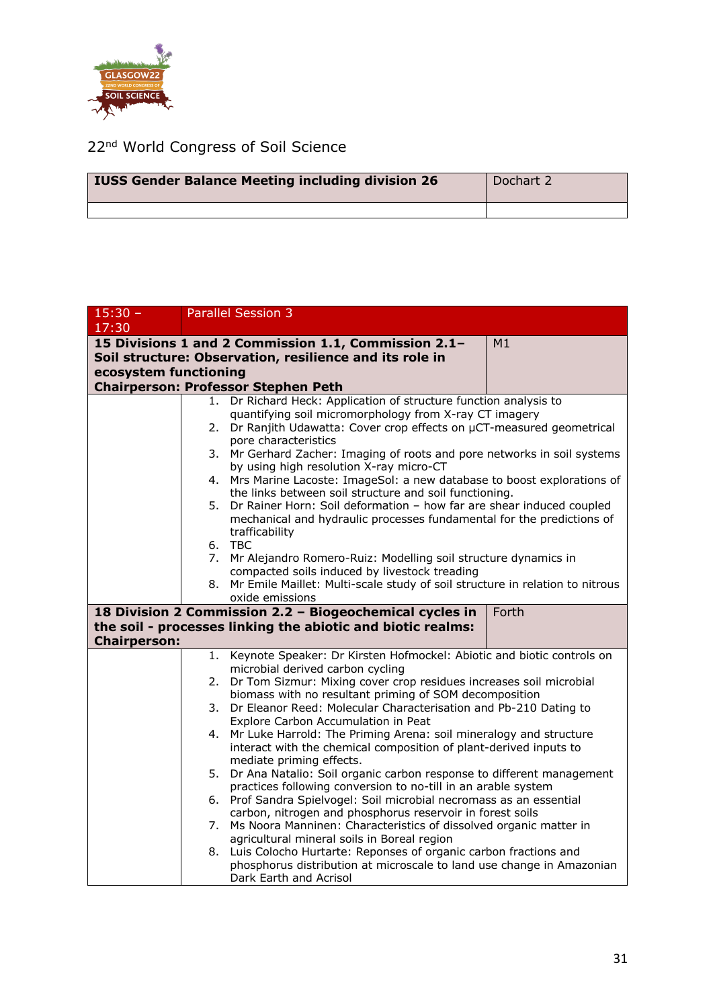

| <b>IUSS Gender Balance Meeting including division 26</b> | Dochart 2 |
|----------------------------------------------------------|-----------|
|                                                          |           |

| $15:30 -$                                                        | <b>Parallel Session 3</b>                                                                                                             |  |
|------------------------------------------------------------------|---------------------------------------------------------------------------------------------------------------------------------------|--|
| 17:30                                                            |                                                                                                                                       |  |
|                                                                  | 15 Divisions 1 and 2 Commission 1.1, Commission 2.1-<br>M1                                                                            |  |
|                                                                  | Soil structure: Observation, resilience and its role in                                                                               |  |
| ecosystem functioning                                            |                                                                                                                                       |  |
|                                                                  | <b>Chairperson: Professor Stephen Peth</b>                                                                                            |  |
|                                                                  | Dr Richard Heck: Application of structure function analysis to<br>1.                                                                  |  |
|                                                                  | quantifying soil micromorphology from X-ray CT imagery                                                                                |  |
|                                                                  | Dr Ranjith Udawatta: Cover crop effects on µCT-measured geometrical<br>2.                                                             |  |
|                                                                  | pore characteristics                                                                                                                  |  |
|                                                                  | 3.<br>Mr Gerhard Zacher: Imaging of roots and pore networks in soil systems                                                           |  |
|                                                                  | by using high resolution X-ray micro-CT                                                                                               |  |
|                                                                  | Mrs Marine Lacoste: ImageSol: a new database to boost explorations of<br>4.<br>the links between soil structure and soil functioning. |  |
|                                                                  | 5. Dr Rainer Horn: Soil deformation - how far are shear induced coupled                                                               |  |
|                                                                  | mechanical and hydraulic processes fundamental for the predictions of                                                                 |  |
|                                                                  | trafficability                                                                                                                        |  |
|                                                                  | 6. TBC                                                                                                                                |  |
|                                                                  | 7. Mr Alejandro Romero-Ruiz: Modelling soil structure dynamics in                                                                     |  |
|                                                                  | compacted soils induced by livestock treading                                                                                         |  |
|                                                                  | 8. Mr Emile Maillet: Multi-scale study of soil structure in relation to nitrous                                                       |  |
|                                                                  | oxide emissions                                                                                                                       |  |
| 18 Division 2 Commission 2.2 - Biogeochemical cycles in<br>Forth |                                                                                                                                       |  |
|                                                                  | the soil - processes linking the abiotic and biotic realms:                                                                           |  |
| <b>Chairperson:</b>                                              |                                                                                                                                       |  |
|                                                                  | Keynote Speaker: Dr Kirsten Hofmockel: Abiotic and biotic controls on<br>1.                                                           |  |
|                                                                  | microbial derived carbon cycling                                                                                                      |  |
|                                                                  | Dr Tom Sizmur: Mixing cover crop residues increases soil microbial<br>2.<br>biomass with no resultant priming of SOM decomposition    |  |
|                                                                  | Dr Eleanor Reed: Molecular Characterisation and Pb-210 Dating to<br>3.                                                                |  |
|                                                                  | Explore Carbon Accumulation in Peat                                                                                                   |  |
|                                                                  | Mr Luke Harrold: The Priming Arena: soil mineralogy and structure<br>4.                                                               |  |
|                                                                  | interact with the chemical composition of plant-derived inputs to                                                                     |  |
|                                                                  | mediate priming effects.                                                                                                              |  |
|                                                                  | Dr Ana Natalio: Soil organic carbon response to different management<br>5.                                                            |  |
|                                                                  | practices following conversion to no-till in an arable system                                                                         |  |
|                                                                  | 6. Prof Sandra Spielvogel: Soil microbial necromass as an essential                                                                   |  |
|                                                                  | carbon, nitrogen and phosphorus reservoir in forest soils                                                                             |  |
|                                                                  | Ms Noora Manninen: Characteristics of dissolved organic matter in<br>7.<br>agricultural mineral soils in Boreal region                |  |
|                                                                  | Luis Colocho Hurtarte: Reponses of organic carbon fractions and<br>8.                                                                 |  |
|                                                                  | phosphorus distribution at microscale to land use change in Amazonian                                                                 |  |
|                                                                  | Dark Earth and Acrisol                                                                                                                |  |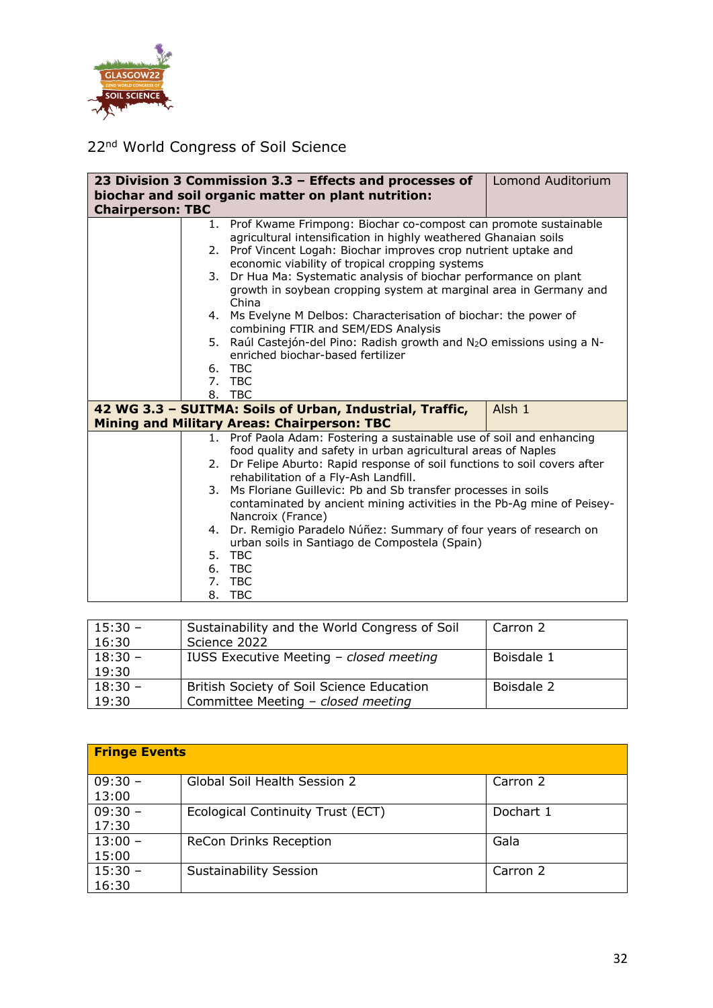

|                                                     |    | 23 Division 3 Commission 3.3 - Effects and processes of                                                  | Lomond Auditorium |  |  |
|-----------------------------------------------------|----|----------------------------------------------------------------------------------------------------------|-------------------|--|--|
| biochar and soil organic matter on plant nutrition: |    |                                                                                                          |                   |  |  |
| <b>Chairperson: TBC</b>                             |    |                                                                                                          |                   |  |  |
|                                                     |    | 1. Prof Kwame Frimpong: Biochar co-compost can promote sustainable                                       |                   |  |  |
|                                                     |    | agricultural intensification in highly weathered Ghanaian soils                                          |                   |  |  |
|                                                     |    | 2. Prof Vincent Logah: Biochar improves crop nutrient uptake and                                         |                   |  |  |
|                                                     |    | economic viability of tropical cropping systems                                                          |                   |  |  |
|                                                     |    | 3. Dr Hua Ma: Systematic analysis of biochar performance on plant                                        |                   |  |  |
|                                                     |    | growth in soybean cropping system at marginal area in Germany and                                        |                   |  |  |
|                                                     |    | China                                                                                                    |                   |  |  |
|                                                     |    | 4. Ms Evelyne M Delbos: Characterisation of biochar: the power of<br>combining FTIR and SEM/EDS Analysis |                   |  |  |
|                                                     | 5. | Raúl Castejón-del Pino: Radish growth and N <sub>2</sub> O emissions using a N-                          |                   |  |  |
|                                                     |    | enriched biochar-based fertilizer                                                                        |                   |  |  |
|                                                     |    | 6. TBC                                                                                                   |                   |  |  |
|                                                     |    | 7. TBC                                                                                                   |                   |  |  |
|                                                     |    | 8. TBC                                                                                                   |                   |  |  |
|                                                     |    | 42 WG 3.3 - SUITMA: Soils of Urban, Industrial, Traffic,                                                 | Alsh 1            |  |  |
|                                                     |    | <b>Mining and Military Areas: Chairperson: TBC</b>                                                       |                   |  |  |
|                                                     |    | 1. Prof Paola Adam: Fostering a sustainable use of soil and enhancing                                    |                   |  |  |
|                                                     |    | food quality and safety in urban agricultural areas of Naples                                            |                   |  |  |
|                                                     |    | 2. Dr Felipe Aburto: Rapid response of soil functions to soil covers after                               |                   |  |  |
|                                                     |    | rehabilitation of a Fly-Ash Landfill.                                                                    |                   |  |  |
|                                                     | 3. | Ms Floriane Guillevic: Pb and Sb transfer processes in soils                                             |                   |  |  |
|                                                     |    | contaminated by ancient mining activities in the Pb-Ag mine of Peisey-                                   |                   |  |  |
|                                                     |    | Nancroix (France)                                                                                        |                   |  |  |
|                                                     | 4. | Dr. Remigio Paradelo Núñez: Summary of four years of research on                                         |                   |  |  |
|                                                     |    | urban soils in Santiago de Compostela (Spain)                                                            |                   |  |  |
|                                                     |    | 5. TBC                                                                                                   |                   |  |  |
|                                                     |    | 6. TBC                                                                                                   |                   |  |  |
|                                                     |    | 7. TBC                                                                                                   |                   |  |  |
|                                                     |    | 8. TBC                                                                                                   |                   |  |  |

| $15:30 -$ | Sustainability and the World Congress of Soil | Carron 2   |
|-----------|-----------------------------------------------|------------|
| 16:30     | Science 2022                                  |            |
| $18:30 -$ | IUSS Executive Meeting - closed meeting       | Boisdale 1 |
| 19:30     |                                               |            |
| $18:30 -$ | British Society of Soil Science Education     | Boisdale 2 |
| 19:30     | Committee Meeting - closed meeting            |            |

| <b>Fringe Events</b> |                                   |           |  |  |  |
|----------------------|-----------------------------------|-----------|--|--|--|
| $09:30 -$<br>13:00   | Global Soil Health Session 2      | Carron 2  |  |  |  |
| $09:30 -$<br>17:30   | Ecological Continuity Trust (ECT) | Dochart 1 |  |  |  |
| $13:00 -$<br>15:00   | <b>ReCon Drinks Reception</b>     | Gala      |  |  |  |
| $15:30 -$<br>16:30   | <b>Sustainability Session</b>     | Carron 2  |  |  |  |